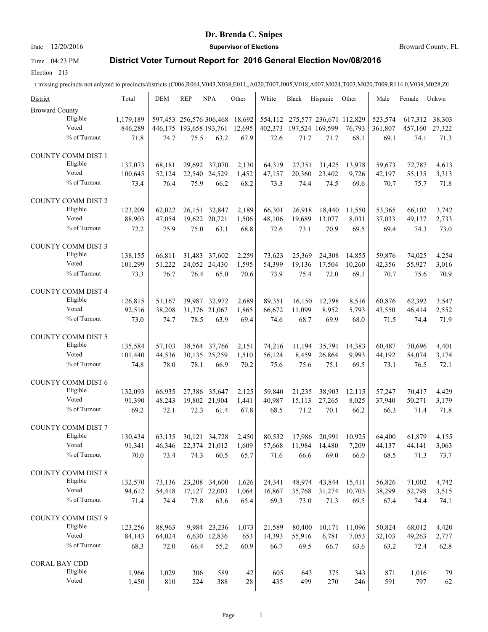### Date 12/20/2016 **Supervisor of Elections Supervisor of Elections** Broward County, FL

# Time 04:23 PM **District Voter Turnout Report for 2016 General Election Nov/08/2016**

Election 213

| District                  | Total              | <b>DEM</b>     | <b>REP</b>              | <b>NPA</b>            | Other         | White          | Black                           | Hispanic         | Other         | Male           | Female         | Unkwn         |
|---------------------------|--------------------|----------------|-------------------------|-----------------------|---------------|----------------|---------------------------------|------------------|---------------|----------------|----------------|---------------|
| <b>Broward County</b>     |                    |                |                         |                       |               |                |                                 |                  |               |                |                |               |
| Eligible                  | 1,179,189          |                | 597,453 256,576 306,468 |                       | 18,692        |                | 554,112 275,577 236,671 112,829 |                  |               | 523,574        | 617,312        | 38,303        |
| Voted                     | 846,289            |                | 446,175 193,658 193,761 |                       | 12,695        | 402,373        | 197,524 169,599                 |                  | 76,793        | 361,807        | 457,160        | 27,322        |
| % of Turnout              | 71.8               | 74.7           | 75.5                    | 63.2                  | 67.9          | 72.6           | 71.7                            | 71.7             | 68.1          | 69.1           | 74.1           | 71.3          |
| COUNTY COMM DIST 1        |                    |                |                         |                       |               |                |                                 |                  |               |                |                |               |
| Eligible                  |                    | 68,181         |                         | 29,692 37,070         |               |                |                                 |                  |               | 59,673         |                |               |
| Voted                     | 137,073<br>100,645 | 52,124         |                         | 22,540 24,529         | 2,130         | 64,319         | 27,351<br>20,360                | 31,425<br>23,402 | 13,978        |                | 72,787         | 4,613         |
| % of Turnout              | 73.4               | 76.4           | 75.9                    | 66.2                  | 1,452<br>68.2 | 47,157<br>73.3 | 74.4                            | 74.5             | 9,726<br>69.6 | 42,197<br>70.7 | 55,135<br>75.7 | 3,313<br>71.8 |
|                           |                    |                |                         |                       |               |                |                                 |                  |               |                |                |               |
| <b>COUNTY COMM DIST 2</b> |                    |                |                         |                       |               |                |                                 |                  |               |                |                |               |
| Eligible                  | 123,209            | 62,022         | 26,151                  | 32,847                | 2,189         | 66,301         | 26,918                          | 18,440           | 11,550        | 53,365         | 66,102         | 3,742         |
| Voted                     | 88,903             | 47,054         |                         | 19,622 20,721         | 1,506         | 48,106         | 19,689                          | 13,077           | 8,031         | 37,033         | 49,137         | 2,733         |
| % of Turnout              | 72.2               | 75.9           | 75.0                    | 63.1                  | 68.8          | 72.6           | 73.1                            | 70.9             | 69.5          | 69.4           | 74.3           | 73.0          |
| <b>COUNTY COMM DIST 3</b> |                    |                |                         |                       |               |                |                                 |                  |               |                |                |               |
| Eligible                  | 138,155            | 66,811         |                         | 31.483 37.602         | 2,259         | 73,623         | 25.369                          | 24,308           | 14,855        | 59,876         | 74,025         | 4,254         |
| Voted                     | 101,299            | 51,222         |                         | 24,052 24,430         | 1,595         | 54,399         | 19.136                          | 17,504           | 10,260        | 42,356         | 55,927         | 3,016         |
| % of Turnout              | 73.3               | 76.7           | 76.4                    | 65.0                  | 70.6          | 73.9           | 75.4                            | 72.0             | 69.1          | 70.7           | 75.6           | 70.9          |
| COUNTY COMM DIST 4        |                    |                |                         |                       |               |                |                                 |                  |               |                |                |               |
| Eligible                  | 126,815            | 51,167         |                         | 39,987 32,972         | 2,689         | 89.351         | 16,150                          | 12,798           | 8,516         | 60,876         | 62,392         | 3,547         |
| Voted                     | 92,516             | 38,208         | 31,376                  | 21,067                | 1,865         | 66,672         | 11,099                          | 8,952            | 5,793         | 43,550         | 46,414         | 2,552         |
| % of Turnout              | 73.0               | 74.7           | 78.5                    | 63.9                  | 69.4          | 74.6           | 68.7                            | 69.9             | 68.0          | 71.5           | 74.4           | 71.9          |
|                           |                    |                |                         |                       |               |                |                                 |                  |               |                |                |               |
| COUNTY COMM DIST 5        |                    |                |                         |                       |               |                |                                 |                  |               |                |                |               |
| Eligible                  | 135,584            | 57,103         |                         | 38,564 37,766         | 2,151         | 74,216         | 11,194                          | 35,791           | 14,383        | 60,487         | 70,696         | 4,401         |
| Voted                     | 101,440            | 44,536         |                         | 30,135 25,259         | 1,510         | 56,124         | 8,459                           | 26,864           | 9,993         | 44,192         | 54,074         | 3,174         |
| % of Turnout              | 74.8               | 78.0           | 78.1                    | 66.9                  | 70.2          | 75.6           | 75.6                            | 75.1             | 69.5          | 73.1           | 76.5           | 72.1          |
| <b>COUNTY COMM DIST 6</b> |                    |                |                         |                       |               |                |                                 |                  |               |                |                |               |
| Eligible                  | 132,093            | 66,935         |                         | 27,386 35,647         | 2,125         | 59,840         | 21,235                          | 38,903           | 12,115        | 57,247         | 70,417         | 4,429         |
| Voted                     | 91,390             | 48,243         |                         | 19,802 21,904         | 1,441         | 40,987         | 15,113                          | 27,265           | 8,025         | 37,940         | 50,271         | 3,179         |
| % of Turnout              | 69.2               | 72.1           | 72.3                    | 61.4                  | 67.8          | 68.5           | 71.2                            | 70.1             | 66.2          | 66.3           | 71.4           | 71.8          |
| <b>COUNTY COMM DIST 7</b> |                    |                |                         |                       |               |                |                                 |                  |               |                |                |               |
| Eligible                  | 130.434            |                |                         |                       |               |                |                                 |                  |               |                |                |               |
| Voted                     |                    | 63,135         | 30,121                  | 34,728                | 2,450         | 80,532         | 17,986<br>11,984                | 20,991           | 10,925        | 64,400         | 61,879         | 4,155         |
| % of Turnout              | 91,341<br>70.0     | 46,346<br>73.4 | 74.3                    | 22,374 21,012<br>60.5 | 1,609<br>65.7 | 57,668<br>71.6 | 66.6                            | 14,480<br>69.0   | 7,209<br>66.0 | 44,137<br>68.5 | 44,141<br>71.3 | 3,063<br>73.7 |
|                           |                    |                |                         |                       |               |                |                                 |                  |               |                |                |               |
| <b>COUNTY COMM DIST 8</b> |                    |                |                         |                       |               |                |                                 |                  |               |                |                |               |
| Eligible                  | 132,570            | 73,136         |                         | 23,208 34,600         | 1,626         | 24,341         | 48,974                          | 43,844           | 15,411        | 56,826         | 71,002         | 4,742         |
| Voted                     | 94,612             | 54,418         |                         | 17,127 22,003         | 1,064         | 16,867         | 35,768                          | 31,274           | 10,703        | 38,299         | 52,798         | 3,515         |
| % of Turnout              | 71.4               | 74.4           | 73.8                    | 63.6                  | 65.4          | 69.3           | 73.0                            | 71.3             | 69.5          | 67.4           | 74.4           | 74.1          |
| <b>COUNTY COMM DIST 9</b> |                    |                |                         |                       |               |                |                                 |                  |               |                |                |               |
| Eligible                  | 123,256            | 88,963         |                         | 9,984 23,236          | 1,073         | 21,589         | 80,400                          | 10,171           | 11,096        | 50,824         | 68,012         | 4,420         |
| Voted                     | 84,143             | 64,024         |                         | 6,630 12,836          | 653           | 14,393         | 55,916                          | 6,781            | 7,053         | 32,103         | 49,263         | 2,777         |
| % of Turnout              | 68.3               | 72.0           | 66.4                    | 55.2                  | 60.9          | 66.7           | 69.5                            | 66.7             | 63.6          | 63.2           | 72.4           | 62.8          |
| CORAL BAY CDD             |                    |                |                         |                       |               |                |                                 |                  |               |                |                |               |
| Eligible                  | 1,966              | 1,029          | 306                     | 589                   | 42            | 605            | 643                             | 375              | 343           | 871            | 1,016          | 79            |
| Voted                     | 1,450              | 810            | 224                     | 388                   | 28            | 435            | 499                             | 270              | 246           | 591            | 797            | 62            |
|                           |                    |                |                         |                       |               |                |                                 |                  |               |                |                |               |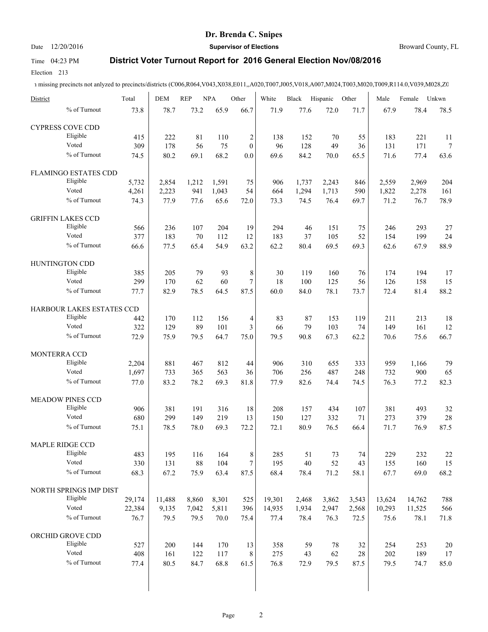### Date 12/20/2016 **Supervisor of Elections Supervisor of Elections** Broward County, FL

### Time 04:23 PM **District Voter Turnout Report for 2016 General Election Nov/08/2016**

Election 213

| District                    | Total  | <b>DEM</b> | <b>REP</b> | <b>NPA</b> | Other            | White  | Black | Hispanic | Other | Male   | Female | Unkwn  |
|-----------------------------|--------|------------|------------|------------|------------------|--------|-------|----------|-------|--------|--------|--------|
| % of Turnout                | 73.8   | 78.7       | 73.2       | 65.9       | 66.7             | 71.9   | 77.6  | 72.0     | 71.7  | 67.9   | 78.4   | 78.5   |
| <b>CYPRESS COVE CDD</b>     |        |            |            |            |                  |        |       |          |       |        |        |        |
| Eligible                    | 415    | 222        | 81         | 110        | $\overline{c}$   | 138    | 152   | 70       | 55    | 183    | 221    | 11     |
| Voted                       | 309    | 178        | 56         | 75         | $\mathbf{0}$     | 96     | 128   | 49       | 36    | 131    | 171    | $\tau$ |
| % of Turnout                | 74.5   | 80.2       | 69.1       | 68.2       | 0.0              | 69.6   | 84.2  | 70.0     | 65.5  | 71.6   | 77.4   | 63.6   |
| <b>FLAMINGO ESTATES CDD</b> |        |            |            |            |                  |        |       |          |       |        |        |        |
| Eligible                    | 5,732  | 2,854      | 1,212      | 1,591      | 75               | 906    | 1,737 | 2,243    | 846   | 2,559  | 2,969  | 204    |
| Voted                       | 4,261  | 2,223      | 941        | 1,043      | 54               | 664    | 1,294 | 1,713    | 590   | 1,822  | 2,278  | 161    |
| % of Turnout                | 74.3   | 77.9       | 77.6       | 65.6       | 72.0             | 73.3   | 74.5  | 76.4     | 69.7  | 71.2   | 76.7   | 78.9   |
| <b>GRIFFIN LAKES CCD</b>    |        |            |            |            |                  |        |       |          |       |        |        |        |
| Eligible                    | 566    | 236        | 107        | 204        | 19               | 294    | 46    | 151      | 75    | 246    | 293    | $27\,$ |
| Voted                       | 377    | 183        | 70         | 112        | 12               | 183    | 37    | 105      | 52    | 154    | 199    | 24     |
| % of Turnout                | 66.6   | 77.5       | 65.4       | 54.9       | 63.2             | 62.2   | 80.4  | 69.5     | 69.3  | 62.6   | 67.9   | 88.9   |
|                             |        |            |            |            |                  |        |       |          |       |        |        |        |
| HUNTINGTON CDD              |        |            |            |            |                  |        |       |          |       |        |        |        |
| Eligible                    | 385    | 205        | 79         | 93         | 8                | 30     | 119   | 160      | 76    | 174    | 194    | 17     |
| Voted                       | 299    | 170        | 62         | 60         | 7                | 18     | 100   | 125      | 56    | 126    | 158    | 15     |
| % of Turnout                | 77.7   | 82.9       | 78.5       | 64.5       | 87.5             | 60.0   | 84.0  | 78.1     | 73.7  | 72.4   | 81.4   | 88.2   |
| HARBOUR LAKES ESTATES CCD   |        |            |            |            |                  |        |       |          |       |        |        |        |
| Eligible                    | 442    | 170        | 112        | 156        | 4                | 83     | 87    | 153      | 119   | 211    | 213    | 18     |
| Voted                       | 322    | 129        | 89         | 101        | 3                | 66     | 79    | 103      | 74    | 149    | 161    | 12     |
| % of Turnout                | 72.9   | 75.9       | 79.5       | 64.7       | 75.0             | 79.5   | 90.8  | 67.3     | 62.2  | 70.6   | 75.6   | 66.7   |
| MONTERRA CCD                |        |            |            |            |                  |        |       |          |       |        |        |        |
| Eligible                    | 2,204  | 881        | 467        | 812        | 44               | 906    | 310   | 655      | 333   | 959    | 1,166  | 79     |
| Voted                       | 1,697  | 733        | 365        | 563        | 36               | 706    | 256   | 487      | 248   | 732    | 900    | 65     |
| % of Turnout                | 77.0   | 83.2       | 78.2       | 69.3       | 81.8             | 77.9   | 82.6  | 74.4     | 74.5  | 76.3   | 77.2   | 82.3   |
|                             |        |            |            |            |                  |        |       |          |       |        |        |        |
| <b>MEADOW PINES CCD</b>     |        |            |            |            |                  |        |       |          |       |        |        |        |
| Eligible                    | 906    | 381        | 191        | 316        | 18               | 208    | 157   | 434      | 107   | 381    | 493    | 32     |
| Voted                       | 680    | 299        | 149        | 219        | 13               | 150    | 127   | 332      | 71    | 273    | 379    | 28     |
| % of Turnout                | 75.1   | 78.5       | 78.0       | 69.3       | 72.2             | 72.1   | 80.9  | 76.5     | 66.4  | 71.7   | 76.9   | 87.5   |
| <b>MAPLE RIDGE CCD</b>      |        |            |            |            |                  |        |       |          |       |        |        |        |
| Eligible                    | 483    | 195        | 116        | 164        | 8                | 285    | 51    | 73       | 74    | 229    | 232    | $22\,$ |
| Voted                       | 330    | 131        | 88         | 104        | $\boldsymbol{7}$ | 195    | 40    | 52       | 43    | 155    | 160    | 15     |
| % of Turnout                | 68.3   | 67.2       | 75.9       | 63.4       | 87.5             | 68.4   | 78.4  | 71.2     | 58.1  | 67.7   | 69.0   | 68.2   |
| NORTH SPRINGS IMP DIST      |        |            |            |            |                  |        |       |          |       |        |        |        |
| Eligible                    | 29,174 | 11,488     | 8,860      | 8,301      | 525              | 19,301 | 2,468 | 3,862    | 3,543 | 13,624 | 14,762 | 788    |
| Voted                       | 22,384 | 9,135      | 7,042      | 5,811      | 396              | 14,935 | 1,934 | 2,947    | 2,568 | 10,293 | 11,525 | 566    |
| % of Turnout                | 76.7   | 79.5       | 79.5       | 70.0       | 75.4             | 77.4   | 78.4  | 76.3     | 72.5  | 75.6   | 78.1   | 71.8   |
|                             |        |            |            |            |                  |        |       |          |       |        |        |        |
| ORCHID GROVE CDD            |        |            |            |            |                  |        |       |          |       |        |        |        |
| Eligible                    | 527    | 200        | 144        | 170        | 13               | 358    | 59    | 78       | 32    | 254    | 253    | 20     |
| Voted                       | 408    | 161        | 122        | 117        | 8                | 275    | 43    | 62       | 28    | 202    | 189    | 17     |
| % of Turnout                | 77.4   | 80.5       | 84.7       | 68.8       | 61.5             | 76.8   | 72.9  | 79.5     | 87.5  | 79.5   | 74.7   | 85.0   |
|                             |        |            |            |            |                  |        |       |          |       |        |        |        |
|                             |        |            |            |            |                  |        |       |          |       |        |        |        |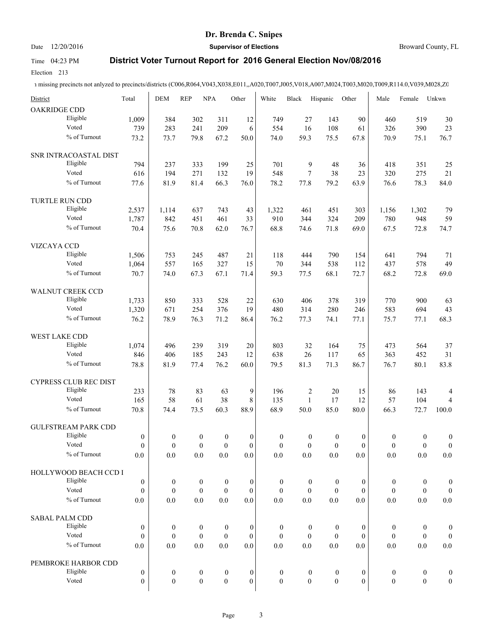Date 12/20/2016 **Supervisor of Elections Supervisor of Elections** Broward County, FL

# Time 04:23 PM **District Voter Turnout Report for 2016 General Election Nov/08/2016**

Election 213

| District                |                            | Total            | <b>DEM</b>       | <b>REP</b>       | <b>NPA</b>       | Other            | White            | <b>Black</b>     | Hispanic         | Other            | Male             | Female           | Unkwn                   |
|-------------------------|----------------------------|------------------|------------------|------------------|------------------|------------------|------------------|------------------|------------------|------------------|------------------|------------------|-------------------------|
| OAKRIDGE CDD            |                            |                  |                  |                  |                  |                  |                  |                  |                  |                  |                  |                  |                         |
|                         | Eligible                   | 1,009            | 384              | 302              | 311              | 12               | 749              | 27               | 143              | 90               | 460              | 519              | 30                      |
|                         | Voted                      | 739              | 283              | 241              | 209              | 6                | 554              | 16               | 108              | 61               | 326              | 390              | 23                      |
|                         | % of Turnout               | 73.2             | 73.7             | 79.8             | 67.2             | 50.0             | 74.0             | 59.3             | 75.5             | 67.8             | 70.9             | 75.1             | 76.7                    |
|                         | SNR INTRACOASTAL DIST      |                  |                  |                  |                  |                  |                  |                  |                  |                  |                  |                  |                         |
|                         | Eligible                   | 794              | 237              | 333              | 199              | 25               | 701              | 9                | 48               | 36               | 418              | 351              | 25                      |
|                         | Voted                      | 616              | 194              | 271              | 132              | 19               | 548              | $\overline{7}$   | 38               | 23               | 320              | 275              | 21                      |
|                         | % of Turnout               | 77.6             | 81.9             | 81.4             | 66.3             | 76.0             | 78.2             | 77.8             | 79.2             | 63.9             | 76.6             | 78.3             | 84.0                    |
| TURTLE RUN CDD          |                            |                  |                  |                  |                  |                  |                  |                  |                  |                  |                  |                  |                         |
|                         | Eligible                   | 2,537            | 1,114            | 637              | 743              | 43               | 1,322            | 461              | 451              | 303              | 1,156            | 1,302            | 79                      |
|                         | Voted                      | 1,787            | 842              | 451              | 461              | 33               | 910              | 344              | 324              | 209              | 780              | 948              | 59                      |
|                         | % of Turnout               | 70.4             | 75.6             | 70.8             | 62.0             | 76.7             | 68.8             | 74.6             | 71.8             | 69.0             | 67.5             | 72.8             | 74.7                    |
| VIZCAYA CCD             |                            |                  |                  |                  |                  |                  |                  |                  |                  |                  |                  |                  |                         |
|                         | Eligible                   | 1,506            | 753              | 245              | 487              | 21               | 118              | 444              | 790              | 154              | 641              | 794              | 71                      |
|                         | Voted                      | 1,064            | 557              | 165              | 327              | 15               | 70               | 344              | 538              | 112              | 437              | 578              | 49                      |
|                         | % of Turnout               | 70.7             | 74.0             | 67.3             | 67.1             | 71.4             | 59.3             | 77.5             | 68.1             | 72.7             | 68.2             | 72.8             | 69.0                    |
| <b>WALNUT CREEK CCD</b> |                            |                  |                  |                  |                  |                  |                  |                  |                  |                  |                  |                  |                         |
|                         | Eligible                   | 1,733            | 850              | 333              | 528              | 22               | 630              | 406              | 378              | 319              | 770              | 900              | 63                      |
|                         | Voted                      | 1,320            | 671              | 254              | 376              | 19               | 480              | 314              | 280              | 246              | 583              | 694              | 43                      |
|                         | % of Turnout               | 76.2             | 78.9             | 76.3             | 71.2             | 86.4             | 76.2             | 77.3             | 74.1             | 77.1             | 75.7             | 77.1             | 68.3                    |
| WEST LAKE CDD           |                            |                  |                  |                  |                  |                  |                  |                  |                  |                  |                  |                  |                         |
|                         | Eligible                   | 1,074            | 496              | 239              | 319              | 20               | 803              | 32               | 164              | 75               | 473              | 564              | 37                      |
|                         | Voted                      | 846              | 406              | 185              | 243              | 12               | 638              | 26               | 117              | 65               | 363              | 452              | 31                      |
|                         | % of Turnout               | 78.8             | 81.9             | 77.4             | 76.2             | 60.0             | 79.5             | 81.3             | 71.3             | 86.7             | 76.7             | 80.1             | 83.8                    |
|                         | CYPRESS CLUB REC DIST      |                  |                  |                  |                  |                  |                  |                  |                  |                  |                  |                  |                         |
|                         | Eligible                   | 233              | 78               | 83               | 63               | 9                | 196              | $\sqrt{2}$       | 20               | 15               | 86               | 143              | 4                       |
|                         | Voted                      | 165              | 58               | 61               | 38               | 8                | 135              | $\mathbf{1}$     | 17               | 12               | 57               | 104              | $\overline{\mathbf{4}}$ |
|                         | % of Turnout               | 70.8             | 74.4             | 73.5             | 60.3             | 88.9             | 68.9             | 50.0             | 85.0             | 80.0             | 66.3             | 72.7             | 100.0                   |
|                         | <b>GULFSTREAM PARK CDD</b> |                  |                  |                  |                  |                  |                  |                  |                  |                  |                  |                  |                         |
|                         | Eligible                   | $\boldsymbol{0}$ | $\boldsymbol{0}$ | $\boldsymbol{0}$ | $\boldsymbol{0}$ | $\boldsymbol{0}$ | $\boldsymbol{0}$ | $\boldsymbol{0}$ | $\boldsymbol{0}$ | $\boldsymbol{0}$ | $\boldsymbol{0}$ | $\boldsymbol{0}$ | $\boldsymbol{0}$        |
|                         | Voted                      | $\Omega$         | $\theta$         | $\overline{0}$   | $\mathbf{0}$     | $\overline{0}$   | $\overline{0}$   | $\overline{0}$   | $\mathbf{0}$     | $\Omega$         | $\mathbf{0}$     | $\mathbf{0}$     | $\boldsymbol{0}$        |
|                         | % of Turnout               | 0.0              | 0.0              | $0.0\,$          | 0.0              | 0.0              | 0.0              | 0.0              | $0.0\,$          | 0.0              | $0.0\,$          | $0.0\,$          | $0.0\,$                 |
|                         | HOLLYWOOD BEACH CCD I      |                  |                  |                  |                  |                  |                  |                  |                  |                  |                  |                  |                         |
|                         | Eligible                   | $\boldsymbol{0}$ | $\boldsymbol{0}$ | $\boldsymbol{0}$ | $\boldsymbol{0}$ | $\boldsymbol{0}$ | $\boldsymbol{0}$ | $\boldsymbol{0}$ | $\boldsymbol{0}$ | $\bf{0}$         | $\boldsymbol{0}$ | $\boldsymbol{0}$ | $\boldsymbol{0}$        |
|                         | Voted                      | $\mathbf{0}$     | $\boldsymbol{0}$ | $\boldsymbol{0}$ | $\boldsymbol{0}$ | $\mathbf{0}$     | $\boldsymbol{0}$ | $\boldsymbol{0}$ | $\boldsymbol{0}$ | $\mathbf{0}$     | $\boldsymbol{0}$ | $\boldsymbol{0}$ | $\boldsymbol{0}$        |
|                         | % of Turnout               | 0.0              | 0.0              | $0.0\,$          | $0.0\,$          | 0.0              | $0.0\,$          | $0.0\,$          | 0.0              | 0.0              | $0.0\,$          | $0.0\,$          | $0.0\,$                 |
| <b>SABAL PALM CDD</b>   |                            |                  |                  |                  |                  |                  |                  |                  |                  |                  |                  |                  |                         |
|                         | Eligible                   | $\mathbf{0}$     | $\boldsymbol{0}$ | $\boldsymbol{0}$ | $\boldsymbol{0}$ | $\boldsymbol{0}$ | $\boldsymbol{0}$ | $\bf{0}$         | $\boldsymbol{0}$ | $\bf{0}$         | $\boldsymbol{0}$ | $\boldsymbol{0}$ | $\boldsymbol{0}$        |
|                         | Voted                      | $\mathbf{0}$     | $\boldsymbol{0}$ | $\boldsymbol{0}$ | $\boldsymbol{0}$ | $\boldsymbol{0}$ | $\boldsymbol{0}$ | $\mathbf{0}$     | $\boldsymbol{0}$ | $\boldsymbol{0}$ | $\boldsymbol{0}$ | $\boldsymbol{0}$ | $\boldsymbol{0}$        |
|                         | % of Turnout               | 0.0              | 0.0              | 0.0              | $0.0\,$          | 0.0              | 0.0              | 0.0              | 0.0              | 0.0              | 0.0              | 0.0              | $0.0\,$                 |
|                         | PEMBROKE HARBOR CDD        |                  |                  |                  |                  |                  |                  |                  |                  |                  |                  |                  |                         |
|                         | Eligible                   | $\boldsymbol{0}$ | $\boldsymbol{0}$ | $\boldsymbol{0}$ | $\boldsymbol{0}$ | $\boldsymbol{0}$ | $\boldsymbol{0}$ | $\boldsymbol{0}$ | $\boldsymbol{0}$ | $\boldsymbol{0}$ | $\boldsymbol{0}$ | $\boldsymbol{0}$ | $\boldsymbol{0}$        |
|                         | Voted                      | $\overline{0}$   | $\boldsymbol{0}$ | $\boldsymbol{0}$ | $\boldsymbol{0}$ | $\mathbf{0}$     | $\boldsymbol{0}$ | $\mathbf{0}$     | $\boldsymbol{0}$ | $\mathbf{0}$     | $\boldsymbol{0}$ | $\boldsymbol{0}$ | $\boldsymbol{0}$        |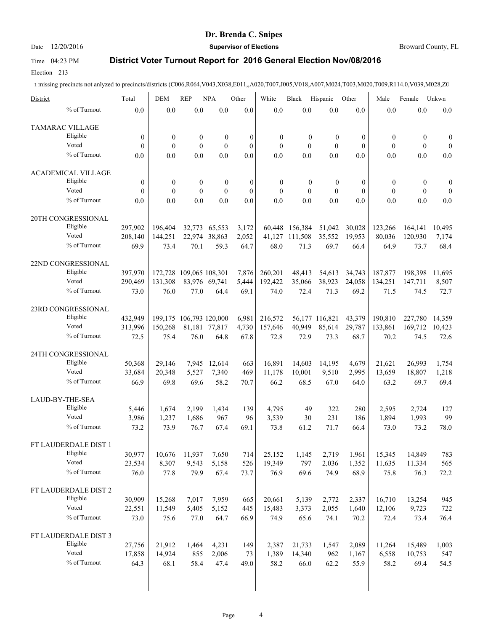Date 12/20/2016 **Supervisor of Elections Supervisor of Elections** Broward County, FL

### Time 04:23 PM **District Voter Turnout Report for 2016 General Election Nov/08/2016**

Election 213

| District |                           | Total            | <b>DEM</b>       | <b>REP</b>              | <b>NPA</b>       | Other            | White            | Black            | Hispanic         | Other            | Male             | Female           | Unkwn            |
|----------|---------------------------|------------------|------------------|-------------------------|------------------|------------------|------------------|------------------|------------------|------------------|------------------|------------------|------------------|
|          | % of Turnout              | 0.0              | 0.0              | 0.0                     | 0.0              | 0.0              | 0.0              | 0.0              | 0.0              | 0.0              | 0.0              | 0.0              | 0.0              |
|          | TAMARAC VILLAGE           |                  |                  |                         |                  |                  |                  |                  |                  |                  |                  |                  |                  |
|          | Eligible                  | $\boldsymbol{0}$ | $\boldsymbol{0}$ | $\boldsymbol{0}$        | $\boldsymbol{0}$ | $\boldsymbol{0}$ | $\boldsymbol{0}$ | $\boldsymbol{0}$ | $\boldsymbol{0}$ | $\boldsymbol{0}$ | $\boldsymbol{0}$ | $\boldsymbol{0}$ | $\boldsymbol{0}$ |
|          | Voted                     | $\theta$         | $\theta$         | $\mathbf{0}$            | $\mathbf{0}$     | $\mathbf{0}$     | $\mathbf{0}$     | $\theta$         | $\mathbf{0}$     | $\mathbf{0}$     | $\mathbf{0}$     | $\mathbf{0}$     | $\boldsymbol{0}$ |
|          | % of Turnout              | 0.0              | 0.0              | 0.0                     | 0.0              | 0.0              | 0.0              | 0.0              | 0.0              | 0.0              | 0.0              | 0.0              | 0.0              |
|          | <b>ACADEMICAL VILLAGE</b> |                  |                  |                         |                  |                  |                  |                  |                  |                  |                  |                  |                  |
|          | Eligible                  | $\mathbf{0}$     | $\boldsymbol{0}$ | $\boldsymbol{0}$        | $\boldsymbol{0}$ | $\boldsymbol{0}$ | $\boldsymbol{0}$ | $\boldsymbol{0}$ | $\boldsymbol{0}$ | $\mathbf{0}$     | $\boldsymbol{0}$ | $\boldsymbol{0}$ | $\boldsymbol{0}$ |
|          | Voted                     | $\theta$         | $\theta$         | $\mathbf{0}$            | $\mathbf{0}$     | $\theta$         | $\mathbf{0}$     | $\mathbf{0}$     | $\theta$         | $\theta$         | $\mathbf{0}$     | $\mathbf{0}$     | $\boldsymbol{0}$ |
|          | % of Turnout              | 0.0              | 0.0              | 0.0                     | 0.0              | 0.0              | 0.0              | 0.0              | 0.0              | 0.0              | 0.0              | 0.0              | 0.0              |
|          | 20TH CONGRESSIONAL        |                  |                  |                         |                  |                  |                  |                  |                  |                  |                  |                  |                  |
|          | Eligible                  | 297,902          | 196,404          | 32,773                  | 65,553           | 3,172            |                  | 60,448 156,384   | 51,042           | 30,028           | 123,266          | 164,141          | 10,495           |
|          | Voted                     | 208,140          | 144,251          |                         | 22,974 38,863    | 2,052            | 41,127           | 111,508          | 35,552           | 19,953           | 80,036           | 120,930          | 7,174            |
|          | % of Turnout              | 69.9             | 73.4             | 70.1                    | 59.3             | 64.7             | 68.0             | 71.3             | 69.7             | 66.4             | 64.9             | 73.7             | 68.4             |
|          | 22ND CONGRESSIONAL        |                  |                  |                         |                  |                  |                  |                  |                  |                  |                  |                  |                  |
|          | Eligible                  | 397,970          |                  | 172,728 109,065 108,301 |                  | 7,876            | 260,201          | 48,413           | 54,613           | 34,743           | 187,877          | 198,398          | 11.695           |
|          | Voted                     | 290,469          | 131,308          |                         | 83,976 69,741    | 5,444            | 192,422          | 35,066           | 38,923           | 24,058           | 134,251          | 147,711          | 8,507            |
|          | % of Turnout              | 73.0             | 76.0             | 77.0                    | 64.4             | 69.1             | 74.0             | 72.4             | 71.3             | 69.2             | 71.5             | 74.5             | 72.7             |
|          | 23RD CONGRESSIONAL        |                  |                  |                         |                  |                  |                  |                  |                  |                  |                  |                  |                  |
|          | Eligible                  | 432,949          |                  | 199,175 106,793 120,000 |                  | 6,981            | 216,572          |                  | 56.177 116.821   | 43,379           | 190,810          | 227,780          | 14,359           |
|          | Voted                     | 313,996          | 150,268          |                         | 81,181 77,817    | 4,730            | 157,646          | 40,949           | 85,614           | 29,787           | 133,861          | 169,712          | 10,423           |
|          | % of Turnout              | 72.5             | 75.4             | 76.0                    | 64.8             | 67.8             | 72.8             | 72.9             | 73.3             | 68.7             | 70.2             | 74.5             | 72.6             |
|          | 24TH CONGRESSIONAL        |                  |                  |                         |                  |                  |                  |                  |                  |                  |                  |                  |                  |
|          | Eligible                  | 50,368           | 29,146           | 7.945                   | 12,614           | 663              | 16,891           | 14,603           | 14,195           | 4,679            | 21,621           | 26,993           | 1,754            |
|          | Voted                     | 33,684           | 20,348           | 5,527                   | 7,340            | 469              | 11,178           | 10,001           | 9,510            | 2,995            | 13,659           | 18,807           | 1,218            |
|          | % of Turnout              | 66.9             | 69.8             | 69.6                    | 58.2             | 70.7             | 66.2             | 68.5             | 67.0             | 64.0             | 63.2             | 69.7             | 69.4             |
|          | LAUD-BY-THE-SEA           |                  |                  |                         |                  |                  |                  |                  |                  |                  |                  |                  |                  |
|          | Eligible                  | 5,446            | 1,674            | 2,199                   | 1,434            | 139              | 4,795            | 49               | 322              | 280              | 2,595            | 2,724            | 127              |
|          | Voted                     | 3,986            | 1,237            | 1,686                   | 967              | 96               | 3,539            | 30               | 231              | 186              | 1,894            | 1,993            | 99               |
|          | % of Turnout              | 73.2             | 73.9             | 76.7                    | 67.4             | 69.1             | 73.8             | 61.2             | 71.7             | 66.4             | 73.0             | 73.2             | 78.0             |
|          | FT LAUDERDALE DIST 1      |                  |                  |                         |                  |                  |                  |                  |                  |                  |                  |                  |                  |
|          | Eligible                  | 30,977           | 10,676           | 11,937                  | 7,650            | 714              | 25,152           | 1,145            | 2,719            | 1,961            | 15,345           | 14,849           | 783              |
|          | Voted                     | 23,534           | 8,307            | 9,543                   | 5,158            | 526              | 19,349           | 797              | 2,036            | 1,352            | 11,635           | 11,334           | 565              |
|          | % of Turnout              | 76.0             | 77.8             | 79.9                    | 67.4             | 73.7             | 76.9             | 69.6             | 74.9             | 68.9             | 75.8             | 76.3             | 72.2             |
|          | FT LAUDERDALE DIST 2      |                  |                  |                         |                  |                  |                  |                  |                  |                  |                  |                  |                  |
|          | Eligible                  | 30,909           | 15,268           | 7,017                   | 7,959            | 665              | 20,661           | 5,139            | 2,772            | 2,337            | 16,710           | 13,254           | 945              |
|          | Voted                     | 22,551           | 11,549           | 5,405                   | 5,152            | 445              | 15,483           | 3,373            | 2,055            | 1,640            | 12,106           | 9,723            | 722              |
|          | % of Turnout              | 73.0             | 75.6             | 77.0                    | 64.7             | 66.9             | 74.9             | 65.6             | 74.1             | 70.2             | 72.4             | 73.4             | 76.4             |
|          | FT LAUDERDALE DIST 3      |                  |                  |                         |                  |                  |                  |                  |                  |                  |                  |                  |                  |
|          | Eligible                  | 27,756           | 21,912           | 1,464                   | 4,231            | 149              | 2,387            | 21,733           | 1,547            | 2,089            | 11,264           | 15,489           | 1,003            |
|          | Voted                     | 17,858           | 14,924           | 855                     | 2,006            | 73               | 1,389            | 14,340           | 962              | 1,167            | 6,558            | 10,753           | 547              |
|          | % of Turnout              | 64.3             | 68.1             | 58.4                    | 47.4             | 49.0             | 58.2             | 66.0             | 62.2             | 55.9             | 58.2             | 69.4             | 54.5             |
|          |                           |                  |                  |                         |                  |                  |                  |                  |                  |                  |                  |                  |                  |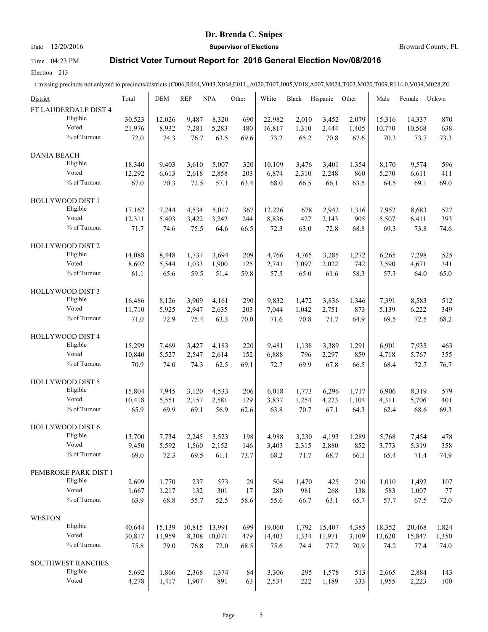### Date 12/20/2016 **Supervisor of Elections Supervisor of Elections** Broward County, FL

# Time 04:23 PM **District Voter Turnout Report for 2016 General Election Nov/08/2016**

Election 213

| District                | Total  | <b>DEM</b> | <b>REP</b> | <b>NPA</b>    | Other | White  | Black | Hispanic | Other | Male   | Female | Unkwn |
|-------------------------|--------|------------|------------|---------------|-------|--------|-------|----------|-------|--------|--------|-------|
| FT LAUDERDALE DIST 4    |        |            |            |               |       |        |       |          |       |        |        |       |
| Eligible                | 30,523 | 12,026     | 9,487      | 8,320         | 690   | 22,982 | 2,010 | 3,452    | 2,079 | 15,316 | 14,337 | 870   |
| Voted                   | 21,976 | 8,932      | 7,281      | 5,283         | 480   | 16,817 | 1,310 | 2,444    | 1,405 | 10,770 | 10,568 | 638   |
| % of Turnout            | 72.0   | 74.3       | 76.7       | 63.5          | 69.6  | 73.2   | 65.2  | 70.8     | 67.6  | 70.3   | 73.7   | 73.3  |
| <b>DANIA BEACH</b>      |        |            |            |               |       |        |       |          |       |        |        |       |
| Eligible                | 18,340 | 9,403      | 3,610      | 5,007         | 320   | 10,109 | 3,476 | 3,401    | 1,354 | 8,170  | 9,574  | 596   |
| Voted                   | 12,292 | 6,613      | 2,618      | 2,858         | 203   | 6,874  | 2,310 | 2,248    | 860   | 5,270  | 6,611  | 411   |
| % of Turnout            | 67.0   | 70.3       | 72.5       | 57.1          | 63.4  | 68.0   | 66.5  | 66.1     | 63.5  | 64.5   | 69.1   | 69.0  |
| HOLLYWOOD DIST 1        |        |            |            |               |       |        |       |          |       |        |        |       |
| Eligible                | 17,162 | 7,244      | 4,534      | 5,017         | 367   | 12,226 | 678   | 2,942    | 1,316 | 7,952  | 8,683  | 527   |
| Voted                   | 12,311 | 5,403      | 3,422      | 3,242         | 244   | 8,836  | 427   | 2,143    | 905   | 5,507  | 6,411  | 393   |
| % of Turnout            | 71.7   | 74.6       | 75.5       | 64.6          | 66.5  | 72.3   | 63.0  | 72.8     | 68.8  | 69.3   | 73.8   | 74.6  |
| HOLLYWOOD DIST 2        |        |            |            |               |       |        |       |          |       |        |        |       |
| Eligible                | 14,088 | 8,448      | 1,737      | 3,694         | 209   | 4,766  | 4,765 | 3,285    | 1,272 | 6,265  | 7,298  | 525   |
| Voted                   | 8,602  | 5,544      | 1,033      | 1,900         | 125   | 2,741  | 3,097 | 2,022    | 742   | 3,590  | 4,671  | 341   |
| % of Turnout            | 61.1   | 65.6       | 59.5       | 51.4          | 59.8  | 57.5   | 65.0  | 61.6     | 58.3  | 57.3   | 64.0   | 65.0  |
| HOLLYWOOD DIST 3        |        |            |            |               |       |        |       |          |       |        |        |       |
| Eligible                | 16,486 | 8,126      | 3,909      | 4,161         | 290   | 9,832  | 1,472 | 3,836    | 1,346 | 7,391  | 8,583  | 512   |
| Voted                   | 11,710 | 5,925      | 2,947      | 2,635         | 203   | 7,044  | 1,042 | 2,751    | 873   | 5,139  | 6,222  | 349   |
| % of Turnout            | 71.0   | 72.9       | 75.4       | 63.3          | 70.0  | 71.6   | 70.8  | 71.7     | 64.9  | 69.5   | 72.5   | 68.2  |
| <b>HOLLYWOOD DIST 4</b> |        |            |            |               |       |        |       |          |       |        |        |       |
| Eligible                | 15,299 | 7,469      | 3,427      | 4,183         | 220   | 9,481  | 1,138 | 3,389    | 1,291 | 6,901  | 7,935  | 463   |
| Voted                   | 10,840 | 5,527      | 2,547      | 2,614         | 152   | 6,888  | 796   | 2,297    | 859   | 4,718  | 5,767  | 355   |
| % of Turnout            | 70.9   | 74.0       | 74.3       | 62.5          | 69.1  | 72.7   | 69.9  | 67.8     | 66.5  | 68.4   | 72.7   | 76.7  |
| HOLLYWOOD DIST 5        |        |            |            |               |       |        |       |          |       |        |        |       |
| Eligible                | 15,804 | 7,945      | 3,120      | 4,533         | 206   | 6,018  | 1,773 | 6,296    | 1,717 | 6,906  | 8,319  | 579   |
| Voted                   | 10,418 | 5,551      | 2,157      | 2,581         | 129   | 3,837  | 1,254 | 4,223    | 1,104 | 4,311  | 5,706  | 401   |
| % of Turnout            | 65.9   | 69.9       | 69.1       | 56.9          | 62.6  | 63.8   | 70.7  | 67.1     | 64.3  | 62.4   | 68.6   | 69.3  |
| HOLLYWOOD DIST 6        |        |            |            |               |       |        |       |          |       |        |        |       |
| Eligible                | 13,700 | 7,734      | 2,245      | 3,523         | 198   | 4,988  | 3,230 | 4,193    | 1,289 | 5,768  | 7,454  | 478   |
| Voted                   | 9,450  | 5,592      | 1,560      | 2,152         | 146   | 3,403  | 2,315 | 2,880    | 852   | 3,773  | 5,319  | 358   |
| % of Turnout            | 69.0   | 72.3       | 69.5       | 61.1          | 73.7  | 68.2   | 71.7  | 68.7     | 66.1  | 65.4   | 71.4   | 74.9  |
| PEMBROKE PARK DIST 1    |        |            |            |               |       |        |       |          |       |        |        |       |
| Eligible                | 2,609  | 1,770      | 237        | 573           | 29    | 504    | 1,470 | 425      | 210   | 1,010  | 1,492  | 107   |
| Voted                   | 1,667  | 1,217      | 132        | 301           | 17    | 280    | 981   | 268      | 138   | 583    | 1,007  | 77    |
| % of Turnout            | 63.9   | 68.8       | 55.7       | 52.5          | 58.6  | 55.6   | 66.7  | 63.1     | 65.7  | 57.7   | 67.5   | 72.0  |
| <b>WESTON</b>           |        |            |            |               |       |        |       |          |       |        |        |       |
| Eligible                | 40,644 | 15,139     |            | 10,815 13,991 | 699   | 19,060 | 1,792 | 15,407   | 4,385 | 18,352 | 20,468 | 1,824 |
| Voted                   | 30,817 | 11,959     |            | 8,308 10,071  | 479   | 14,403 | 1,334 | 11,971   | 3,109 | 13,620 | 15,847 | 1,350 |
| % of Turnout            | 75.8   | 79.0       | 76.8       | 72.0          | 68.5  | 75.6   | 74.4  | 77.7     | 70.9  | 74.2   | 77.4   | 74.0  |
| SOUTHWEST RANCHES       |        |            |            |               |       |        |       |          |       |        |        |       |
| Eligible                | 5,692  | 1,866      | 2,368      | 1,374         | 84    | 3,306  | 295   | 1,578    | 513   | 2,665  | 2,884  | 143   |
| Voted                   | 4,278  | 1,417      | 1,907      | 891           | 63    | 2,534  | 222   | 1,189    | 333   | 1,955  | 2,223  | 100   |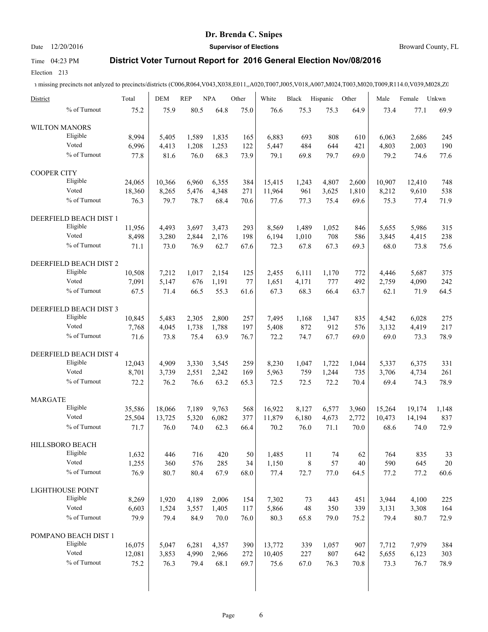### Date 12/20/2016 **Supervisor of Elections Supervisor of Elections** Broward County, FL

## Time 04:23 PM **District Voter Turnout Report for 2016 General Election Nov/08/2016**

Election 213

1 missing precincts not anlyzed to precincts/districts (C006,R064,V043,X038,E011,,A020,T007,J005,V018,A007,M024,T003,M020,T009,R114.0,V039,M028,Z0

| District                |                                    | Total  | <b>DEM</b> | <b>REP</b>     | <b>NPA</b> | Other | White  | Black       | Hispanic     | Other | Male   | Female | Unkwn  |
|-------------------------|------------------------------------|--------|------------|----------------|------------|-------|--------|-------------|--------------|-------|--------|--------|--------|
|                         | % of Turnout                       | 75.2   | 75.9       | 80.5           | 64.8       | 75.0  | 76.6   | 75.3        | 75.3         | 64.9  | 73.4   | 77.1   | 69.9   |
| <b>WILTON MANORS</b>    |                                    |        |            |                |            |       |        |             |              |       |        |        |        |
|                         | Eligible                           | 8,994  | 5,405      | 1,589          | 1,835      | 165   | 6,883  | 693         | 808          | 610   | 6,063  | 2,686  | 245    |
|                         | Voted                              | 6,996  | 4,413      | 1,208          | 1,253      | 122   | 5,447  | 484         | 644          | 421   | 4,803  | 2,003  | 190    |
|                         | % of Turnout                       | 77.8   | 81.6       | 76.0           | 68.3       | 73.9  | 79.1   | 69.8        | 79.7         | 69.0  | 79.2   | 74.6   | 77.6   |
| <b>COOPER CITY</b>      |                                    |        |            |                |            |       |        |             |              |       |        |        |        |
|                         | Eligible                           | 24,065 | 10,366     | 6,960          | 6,355      | 384   | 15,415 | 1,243       | 4,807        | 2.600 | 10,907 | 12,410 | 748    |
|                         | Voted                              | 18,360 | 8,265      | 5,476          | 4,348      | 271   | 11,964 | 961         | 3,625        | 1,810 | 8,212  | 9,610  | 538    |
|                         | % of Turnout                       | 76.3   | 79.7       | 78.7           | 68.4       | 70.6  | 77.6   | 77.3        | 75.4         | 69.6  | 75.3   | 77.4   | 71.9   |
|                         | DEERFIELD BEACH DIST 1             |        |            |                |            |       |        |             |              |       |        |        |        |
|                         | Eligible                           | 11,956 | 4,493      | 3,697          | 3,473      | 293   | 8,569  | 1,489       | 1,052        | 846   | 5,655  | 5,986  | 315    |
|                         | Voted                              |        |            | 2,844          | 2,176      |       | 6,194  |             | 708          |       | 3,845  |        | 238    |
|                         | % of Turnout                       | 8,498  | 3,280      |                |            | 198   |        | 1,010       |              | 586   |        | 4,415  |        |
|                         |                                    | 71.1   | 73.0       | 76.9           | 62.7       | 67.6  | 72.3   | 67.8        | 67.3         | 69.3  | 68.0   | 73.8   | 75.6   |
|                         | DEERFIELD BEACH DIST 2             |        |            |                |            |       |        |             |              |       |        |        |        |
|                         | Eligible                           | 10,508 | 7,212      | 1,017          | 2,154      | 125   | 2,455  | 6,111       | 1,170        | 772   | 4,446  | 5,687  | 375    |
|                         | Voted                              | 7,091  | 5,147      | 676            | 1,191      | 77    | 1,651  | 4,171       | 777          | 492   | 2,759  | 4,090  | 242    |
|                         | % of Turnout                       | 67.5   | 71.4       | 66.5           | 55.3       | 61.6  | 67.3   | 68.3        | 66.4         | 63.7  | 62.1   | 71.9   | 64.5   |
|                         | DEERFIELD BEACH DIST 3             |        |            |                |            |       |        |             |              |       |        |        |        |
|                         | Eligible                           | 10,845 | 5,483      | 2,305          | 2,800      | 257   | 7,495  | 1,168       | 1,347        | 835   | 4.542  | 6,028  | 275    |
|                         | Voted                              | 7,768  | 4,045      | 1,738          | 1,788      | 197   | 5,408  | 872         | 912          | 576   | 3,132  | 4,419  | 217    |
|                         | % of Turnout                       | 71.6   | 73.8       | 75.4           | 63.9       | 76.7  | 72.2   | 74.7        | 67.7         | 69.0  | 69.0   | 73.3   | 78.9   |
|                         |                                    |        |            |                |            |       |        |             |              |       |        |        |        |
|                         | DEERFIELD BEACH DIST 4<br>Eligible |        |            |                |            |       |        |             |              |       |        |        |        |
|                         | Voted                              | 12,043 | 4,909      | 3,330          | 3,545      | 259   | 8,230  | 1,047       | 1,722        | 1,044 | 5,337  | 6,375  | 331    |
|                         | % of Turnout                       | 8,701  | 3,739      | 2,551          | 2,242      | 169   | 5,963  | 759         | 1,244        | 735   | 3,706  | 4,734  | 261    |
|                         |                                    | 72.2   | 76.2       | 76.6           | 63.2       | 65.3  | 72.5   | 72.5        | 72.2         | 70.4  | 69.4   | 74.3   | 78.9   |
| <b>MARGATE</b>          |                                    |        |            |                |            |       |        |             |              |       |        |        |        |
|                         | Eligible                           | 35,586 | 18,066     | 7,189          | 9,763      | 568   | 16,922 | 8,127       | 6,577        | 3,960 | 15,264 | 19,174 | 1,148  |
|                         | Voted                              | 25,504 | 13,725     | 5,320          | 6,082      | 377   | 11,879 | 6,180       | 4,673        | 2,772 | 10,473 | 14,194 | 837    |
|                         | % of Turnout                       | 71.7   | 76.0       | 74.0           | 62.3       | 66.4  | 70.2   | 76.0        | 71.1         | 70.0  | 68.6   | 74.0   | 72.9   |
| HILLSBORO BEACH         |                                    |        |            |                |            |       |        |             |              |       |        |        |        |
|                         | Eligible                           | 1,632  | 446        | 716            | 420        | 50    | 1,485  | $11\,$      | 74           | 62    | 764    | 835    | 33     |
|                         | Voted                              | 1,255  | 360        | 576            | 285        | 34    | 1,150  | $\,$ 8 $\,$ | 57           | 40    | 590    | 645    | $20\,$ |
|                         | % of Turnout                       | 76.9   | 80.7       | 80.4           | 67.9       | 68.0  | 77.4   | 72.7        | 77.0         | 64.5  | 77.2   | 77.2   | 60.6   |
| <b>LIGHTHOUSE POINT</b> |                                    |        |            |                |            |       |        |             |              |       |        |        |        |
|                         | Eligible                           | 8,269  | 1,920      | 4,189          | 2,006      | 154   | 7,302  | 73          | 443          | 451   | 3,944  | 4,100  | 225    |
|                         | Voted                              | 6,603  | 1,524      | 3,557          | 1,405      | 117   | 5,866  | 48          | 350          | 339   | 3,131  | 3,308  | 164    |
|                         | % of Turnout                       | 79.9   | 79.4       | 84.9           | 70.0       | 76.0  | 80.3   | 65.8        | 79.0         | 75.2  | 79.4   | 80.7   | 72.9   |
|                         | POMPANO BEACH DIST 1               |        |            |                |            |       |        |             |              |       |        |        |        |
|                         | Eligible                           | 16,075 |            |                |            |       |        |             |              |       |        |        |        |
|                         | Voted                              | 12,081 | 5,047      | 6,281<br>4,990 | 4,357      | 390   | 13,772 | 339         | 1,057<br>807 | 907   | 7,712  | 7,979  | 384    |
|                         | % of Turnout                       |        | 3,853      |                | 2,966      | 272   | 10,405 | 227         |              | 642   | 5,655  | 6,123  | 303    |
|                         |                                    | 75.2   | 76.3       | 79.4           | 68.1       | 69.7  | 75.6   | 67.0        | 76.3         | 70.8  | 73.3   | 76.7   | 78.9   |
|                         |                                    |        |            |                |            |       |        |             |              |       |        |        |        |

 $\overline{\phantom{a}}$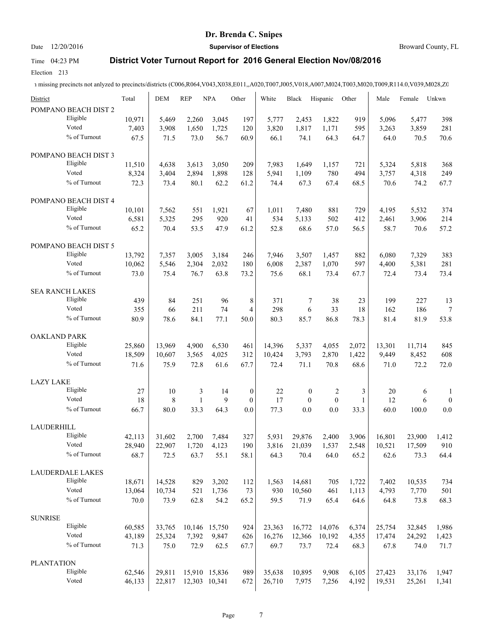Date 12/20/2016 **Supervisor of Elections Supervisor of Elections** Broward County, FL

### Time 04:23 PM **District Voter Turnout Report for 2016 General Election Nov/08/2016**

Election 213

| District               | Total  | <b>DEM</b> | <b>REP</b>     | <b>NPA</b>    | Other            | White  | <b>Black</b>     | Hispanic       | Other        | Male   | Female | Unkwn            |
|------------------------|--------|------------|----------------|---------------|------------------|--------|------------------|----------------|--------------|--------|--------|------------------|
| POMPANO BEACH DIST 2   |        |            |                |               |                  |        |                  |                |              |        |        |                  |
| Eligible               | 10,971 | 5,469      | 2,260          | 3,045         | 197              | 5,777  | 2,453            | 1,822          | 919          | 5,096  | 5,477  | 398              |
| Voted                  | 7,403  | 3,908      | 1,650          | 1,725         | 120              | 3,820  | 1,817            | 1,171          | 595          | 3,263  | 3,859  | 281              |
| % of Turnout           | 67.5   | 71.5       | 73.0           | 56.7          | 60.9             | 66.1   | 74.1             | 64.3           | 64.7         | 64.0   | 70.5   | 70.6             |
| POMPANO BEACH DIST 3   |        |            |                |               |                  |        |                  |                |              |        |        |                  |
| Eligible               | 11,510 | 4,638      | 3,613          | 3,050         | 209              | 7,983  | 1,649            | 1,157          | 721          | 5,324  | 5,818  | 368              |
| Voted                  | 8,324  | 3,404      | 2,894          | 1,898         | 128              | 5,941  | 1,109            | 780            | 494          | 3,757  | 4,318  | 249              |
| % of Turnout           | 72.3   | 73.4       | 80.1           | 62.2          | 61.2             | 74.4   | 67.3             | 67.4           | 68.5         | 70.6   | 74.2   | 67.7             |
| POMPANO BEACH DIST 4   |        |            |                |               |                  |        |                  |                |              |        |        |                  |
| Eligible               | 10,101 | 7,562      | 551            | 1,921         | 67               | 1,011  | 7,480            | 881            | 729          | 4,195  | 5,532  | 374              |
| Voted                  | 6,581  | 5,325      | 295            | 920           | 41               | 534    | 5,133            | 502            | 412          | 2,461  | 3,906  | 214              |
| % of Turnout           | 65.2   | 70.4       | 53.5           | 47.9          | 61.2             | 52.8   | 68.6             | 57.0           | 56.5         | 58.7   | 70.6   | 57.2             |
| POMPANO BEACH DIST 5   |        |            |                |               |                  |        |                  |                |              |        |        |                  |
| Eligible               | 13,792 | 7,357      | 3,005          | 3,184         | 246              | 7,946  | 3,507            | 1,457          | 882          | 6,080  | 7,329  | 383              |
| Voted                  | 10,062 | 5,546      | 2,304          | 2,032         | 180              | 6,008  | 2,387            | 1,070          | 597          | 4,400  | 5,381  | 281              |
| % of Turnout           | 73.0   | 75.4       | 76.7           | 63.8          | 73.2             | 75.6   | 68.1             | 73.4           | 67.7         | 72.4   | 73.4   | 73.4             |
| <b>SEA RANCH LAKES</b> |        |            |                |               |                  |        |                  |                |              |        |        |                  |
| Eligible               | 439    | 84         | 251            | 96            | 8                | 371    | 7                | 38             | 23           | 199    | 227    | 13               |
| Voted                  | 355    | 66         | 211            | 74            | 4                | 298    | 6                | 33             | 18           | 162    | 186    | $\tau$           |
| % of Turnout           | 80.9   | 78.6       | 84.1           | 77.1          | 50.0             | 80.3   | 85.7             | 86.8           | 78.3         | 81.4   | 81.9   | 53.8             |
| <b>OAKLAND PARK</b>    |        |            |                |               |                  |        |                  |                |              |        |        |                  |
| Eligible               | 25,860 | 13,969     | 4,900          | 6,530         | 461              | 14,396 | 5,337            | 4,055          | 2,072        | 13,301 | 11,714 | 845              |
| Voted                  | 18,509 | 10,607     | 3,565          | 4,025         | 312              | 10,424 | 3,793            | 2,870          | 1,422        | 9,449  | 8,452  | 608              |
| % of Turnout           | 71.6   | 75.9       | 72.8           | 61.6          | 67.7             | 72.4   | 71.1             | 70.8           | 68.6         | 71.0   | 72.2   | 72.0             |
| <b>LAZY LAKE</b>       |        |            |                |               |                  |        |                  |                |              |        |        |                  |
| Eligible               | 27     | 10         | $\mathfrak{Z}$ | 14            | $\boldsymbol{0}$ | 22     | $\boldsymbol{0}$ | $\overline{c}$ | 3            | 20     | 6      | 1                |
| Voted                  | 18     | 8          | $\mathbf{1}$   | 9             | $\overline{0}$   | 17     | $\mathbf{0}$     | $\mathbf{0}$   | $\mathbf{1}$ | 12     | 6      | $\boldsymbol{0}$ |
| % of Turnout           | 66.7   | 80.0       | 33.3           | 64.3          | 0.0              | 77.3   | 0.0              | 0.0            | 33.3         | 60.0   | 100.0  | 0.0              |
| LAUDERHILL             |        |            |                |               |                  |        |                  |                |              |        |        |                  |
| Eligible               | 42,113 | 31,602     | 2,700          | 7,484         | 327              | 5,931  | 29,876           | 2,400          | 3,906        | 16,801 | 23,900 | 1,412            |
| Voted                  | 28,940 | 22,907     | 1,720          | 4,123         | 190              | 3,816  | 21,039           | 1,537          | 2,548        | 10,521 | 17,509 | 910              |
| % of Turnout           | 68.7   | 72.5       | 63.7           | 55.1          | 58.1             | 64.3   | 70.4             | 64.0           | 65.2         | 62.6   | 73.3   | 64.4             |
| LAUDERDALE LAKES       |        |            |                |               |                  |        |                  |                |              |        |        |                  |
| Eligible               | 18,671 | 14,528     | 829            | 3,202         | 112              | 1,563  | 14,681           | 705            | 1,722        | 7,402  | 10,535 | 734              |
| Voted                  | 13,064 | 10,734     | 521            | 1,736         | 73               | 930    | 10,560           | 461            | 1,113        | 4,793  | 7,770  | 501              |
| % of Turnout           | 70.0   | 73.9       | 62.8           | 54.2          | 65.2             | 59.5   | 71.9             | 65.4           | 64.6         | 64.8   | 73.8   | 68.3             |
| <b>SUNRISE</b>         |        |            |                |               |                  |        |                  |                |              |        |        |                  |
| Eligible               | 60,585 | 33,765     |                | 10,146 15,750 | 924              | 23,363 | 16,772           | 14,076         | 6,374        | 25,754 | 32,845 | 1,986            |
| Voted                  | 43,189 | 25,324     | 7,392          | 9,847         | 626              | 16,276 | 12,366           | 10,192         | 4,355        | 17,474 | 24,292 | 1,423            |
| % of Turnout           | 71.3   | 75.0       | 72.9           | 62.5          | 67.7             | 69.7   | 73.7             | 72.4           | 68.3         | 67.8   | 74.0   | 71.7             |
| <b>PLANTATION</b>      |        |            |                |               |                  |        |                  |                |              |        |        |                  |
| Eligible               | 62,546 | 29,811     |                | 15,910 15,836 | 989              | 35,638 | 10,895           | 9,908          | 6,105        | 27,423 | 33,176 | 1,947            |
| Voted                  | 46,133 | 22,817     |                | 12,303 10,341 | 672              | 26,710 | 7,975            | 7,256          | 4,192        | 19,531 | 25,261 | 1,341            |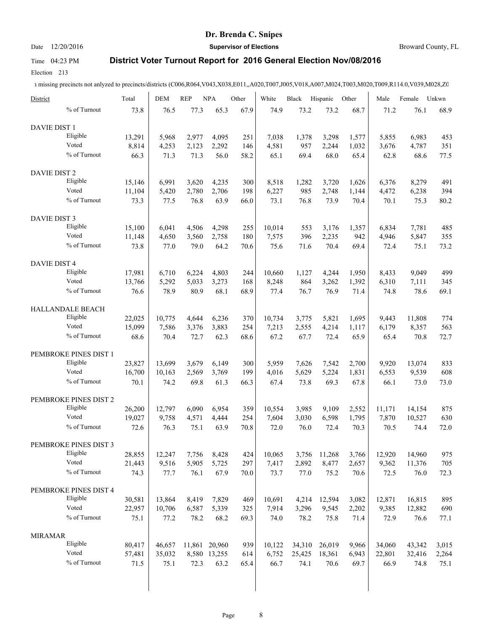### Date 12/20/2016 **Supervisor of Elections Supervisor of Elections** Broward County, FL

# Time 04:23 PM **District Voter Turnout Report for 2016 General Election Nov/08/2016**

Election 213

1 missing precincts not anlyzed to precincts/districts (C006,R064,V043,X038,E011,,A020,T007,J005,V018,A007,M024,T003,M020,T009,R114.0,V039,M028,Z0

| District            |                       | Total          | <b>DEM</b>    | <b>REP</b>    | <b>NPA</b>     | Other       | White         | Black         | Hispanic      | Other         | Male          | Female         | Unkwn       |
|---------------------|-----------------------|----------------|---------------|---------------|----------------|-------------|---------------|---------------|---------------|---------------|---------------|----------------|-------------|
|                     | % of Turnout          | 73.8           | 76.5          | 77.3          | 65.3           | 67.9        | 74.9          | 73.2          | 73.2          | 68.7          | 71.2          | 76.1           | 68.9        |
| <b>DAVIE DIST 1</b> |                       |                |               |               |                |             |               |               |               |               |               |                |             |
|                     | Eligible              | 13,291         | 5,968         | 2,977         | 4,095          | 251         | 7,038         | 1,378         | 3,298         | 1,577         | 5,855         | 6,983          | 453         |
|                     | Voted                 | 8,814          | 4,253         | 2,123         | 2,292          | 146         | 4,581         | 957           | 2,244         | 1,032         | 3,676         | 4,787          | 351         |
|                     | % of Turnout          | 66.3           | 71.3          | 71.3          | 56.0           | 58.2        | 65.1          | 69.4          | 68.0          | 65.4          | 62.8          | 68.6           | 77.5        |
| <b>DAVIE DIST 2</b> |                       |                |               |               |                |             |               |               |               |               |               |                |             |
|                     | Eligible              | 15,146         | 6,991         | 3,620         | 4,235          | 300         | 8,518         | 1,282         | 3,720         | 1,626         | 6,376         | 8,279          | 491         |
|                     | Voted                 | 11,104         | 5,420         | 2,780         | 2,706          | 198         | 6,227         | 985           | 2,748         | 1,144         | 4,472         | 6,238          | 394         |
|                     | % of Turnout          | 73.3           | 77.5          | 76.8          | 63.9           | 66.0        | 73.1          | 76.8          | 73.9          | 70.4          | 70.1          | 75.3           | 80.2        |
|                     |                       |                |               |               |                |             |               |               |               |               |               |                |             |
| DAVIE DIST 3        |                       |                |               |               |                |             |               |               |               |               |               |                |             |
|                     | Eligible              | 15,100         | 6,041         | 4,506         | 4,298          | 255         | 10,014        | 553           | 3,176         | 1,357         | 6,834         | 7,781          | 485         |
|                     | Voted                 | 11,148         | 4,650         | 3,560         | 2,758          | 180         | 7,575         | 396           | 2,235         | 942           | 4,946         | 5,847          | 355         |
|                     | % of Turnout          | 73.8           | 77.0          | 79.0          | 64.2           | 70.6        | 75.6          | 71.6          | 70.4          | 69.4          | 72.4          | 75.1           | 73.2        |
| DAVIE DIST 4        |                       |                |               |               |                |             |               |               |               |               |               |                |             |
|                     | Eligible              | 17,981         | 6,710         | 6,224         | 4,803          | 244         | 10,660        | 1,127         | 4,244         | 1,950         | 8,433         | 9,049          | 499         |
|                     | Voted                 | 13,766         | 5,292         | 5,033         | 3,273          | 168         | 8,248         | 864           | 3,262         | 1,392         | 6,310         | 7,111          | 345         |
|                     | % of Turnout          | 76.6           | 78.9          | 80.9          | 68.1           | 68.9        | 77.4          | 76.7          | 76.9          | 71.4          | 74.8          | 78.6           | 69.1        |
|                     | HALLANDALE BEACH      |                |               |               |                |             |               |               |               |               |               |                |             |
|                     | Eligible              | 22,025         | 10,775        | 4,644         | 6,236          | 370         | 10,734        | 3,775         | 5,821         | 1,695         | 9,443         | 11,808         | 774         |
|                     | Voted                 | 15,099         | 7,586         | 3,376         | 3,883          | 254         | 7,213         | 2,555         | 4,214         | 1,117         | 6,179         | 8,357          | 563         |
|                     | % of Turnout          | 68.6           | 70.4          | 72.7          | 62.3           | 68.6        | 67.2          | 67.7          | 72.4          | 65.9          | 65.4          | 70.8           | 72.7        |
|                     |                       |                |               |               |                |             |               |               |               |               |               |                |             |
|                     | PEMBROKE PINES DIST 1 |                |               |               |                |             |               |               |               |               |               |                |             |
|                     | Eligible              | 23,827         | 13,699        | 3,679         | 6,149          | 300         | 5,959         | 7,626         | 7,542         | 2,700         | 9,920         | 13,074         | 833         |
|                     | Voted                 | 16,700         | 10,163        | 2,569         | 3,769          | 199         | 4,016         | 5,629         | 5,224         | 1,831         | 6,553         | 9,539          | 608         |
|                     | % of Turnout          | 70.1           | 74.2          | 69.8          | 61.3           | 66.3        | 67.4          | 73.8          | 69.3          | 67.8          | 66.1          | 73.0           | 73.0        |
|                     | PEMBROKE PINES DIST 2 |                |               |               |                |             |               |               |               |               |               |                |             |
|                     | Eligible              | 26,200         | 12,797        | 6,090         | 6,954          | 359         | 10.554        | 3,985         | 9,109         | 2,552         | 11,171        | 14,154         | 875         |
|                     | Voted                 | 19,027         | 9,758         | 4,571         | 4,444          | 254         | 7,604         | 3,030         | 6,598         | 1,795         | 7,870         | 10,527         | 630         |
|                     | % of Turnout          | 72.6           | 76.3          | 75.1          | 63.9           | 70.8        | 72.0          | 76.0          | 72.4          | 70.3          | 70.5          | 74.4           | 72.0        |
|                     | PEMBROKE PINES DIST 3 |                |               |               |                |             |               |               |               |               |               |                |             |
|                     | Eligible              | 28,855         |               |               |                |             |               |               |               |               | 12,920        | 14,960         | 975         |
|                     | Voted                 |                | 12,247        | 7,756         | 8,428<br>5,725 | 424         | 10,065        | 3,756         | 11,268        | 3,766         |               |                |             |
|                     | % of Turnout          | 21,443<br>74.3 | 9,516<br>77.7 | 5,905<br>76.1 | 67.9           | 297<br>70.0 | 7,417<br>73.7 | 2,892<br>77.0 | 8,477<br>75.2 | 2,657<br>70.6 | 9,362<br>72.5 | 11,376<br>76.0 | 705<br>72.3 |
|                     |                       |                |               |               |                |             |               |               |               |               |               |                |             |
|                     | PEMBROKE PINES DIST 4 |                |               |               |                |             |               |               |               |               |               |                |             |
|                     | Eligible              | 30,581         | 13,864        | 8,419         | 7,829          | 469         | 10,691        | 4,214         | 12,594        | 3,082         | 12,871        | 16,815         | 895         |
|                     | Voted                 | 22,957         | 10,706        | 6,587         | 5,339          | 325         | 7,914         | 3,296         | 9,545         | 2,202         | 9,385         | 12,882         | 690         |
|                     | % of Turnout          | 75.1           | 77.2          | 78.2          | 68.2           | 69.3        | 74.0          | 78.2          | 75.8          | 71.4          | 72.9          | 76.6           | 77.1        |
| <b>MIRAMAR</b>      |                       |                |               |               |                |             |               |               |               |               |               |                |             |
|                     | Eligible              | 80,417         | 46,657        |               | 11,861 20,960  | 939         | 10,122        | 34,310        | 26,019        | 9,966         | 34,060        | 43,342         | 3,015       |
|                     | Voted                 | 57,481         | 35,032        |               | 8,580 13,255   | 614         | 6,752         | 25,425        | 18,361        | 6,943         | 22,801        | 32,416         | 2,264       |
|                     | % of Turnout          | 71.5           | 75.1          | 72.3          | 63.2           | 65.4        | 66.7          | 74.1          | 70.6          | 69.7          | 66.9          | 74.8           | 75.1        |
|                     |                       |                |               |               |                |             |               |               |               |               |               |                |             |
|                     |                       |                |               |               |                |             |               |               |               |               |               |                |             |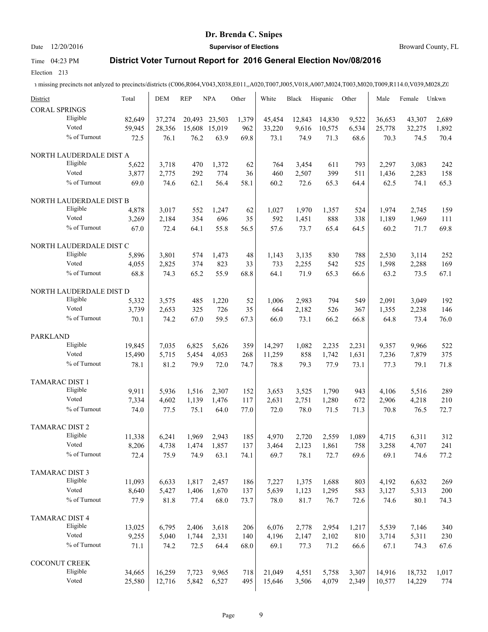# Date 12/20/2016 **Supervisor of Elections Supervisor of Elections** Broward County, FL

# Time 04:23 PM **District Voter Turnout Report for 2016 General Election Nov/08/2016**

Election 213

| District                            | Total  | <b>DEM</b> | <b>REP</b> | <b>NPA</b> | Other    | White  | Black  | Hispanic | Other | Male   | Female | Unkwn |
|-------------------------------------|--------|------------|------------|------------|----------|--------|--------|----------|-------|--------|--------|-------|
| <b>CORAL SPRINGS</b>                |        |            |            |            |          |        |        |          |       |        |        |       |
| Eligible<br>Voted                   | 82,649 | 37,274     | 20,493     | 23,503     | 1,379    | 45,454 | 12,843 | 14,830   | 9,522 | 36,653 | 43,307 | 2,689 |
| % of Turnout                        | 59,945 | 28,356     | 15,608     | 15,019     | 962      | 33,220 | 9,616  | 10,575   | 6,534 | 25,778 | 32,275 | 1,892 |
|                                     | 72.5   | 76.1       | 76.2       | 63.9       | 69.8     | 73.1   | 74.9   | 71.3     | 68.6  | 70.3   | 74.5   | 70.4  |
| NORTH LAUDERDALE DIST A             |        |            |            |            |          |        |        |          |       |        |        |       |
| Eligible                            | 5,622  | 3,718      | 470        | 1,372      | 62       | 764    | 3,454  | 611      | 793   | 2,297  | 3,083  | 242   |
| Voted                               | 3,877  | 2,775      | 292        | 774        | 36       | 460    | 2,507  | 399      | 511   | 1,436  | 2,283  | 158   |
| % of Turnout                        | 69.0   | 74.6       | 62.1       | 56.4       | 58.1     | 60.2   | 72.6   | 65.3     | 64.4  | 62.5   | 74.1   | 65.3  |
| NORTH LAUDERDALE DIST B             |        |            |            |            |          |        |        |          |       |        |        |       |
| Eligible                            | 4,878  | 3,017      | 552        | 1,247      | 62       | 1,027  | 1,970  | 1,357    | 524   | 1,974  | 2,745  | 159   |
| Voted                               | 3,269  | 2,184      | 354        | 696        | 35       | 592    | 1,451  | 888      | 338   | 1,189  | 1,969  | 111   |
| % of Turnout                        | 67.0   | 72.4       | 64.1       | 55.8       | 56.5     | 57.6   | 73.7   | 65.4     | 64.5  | 60.2   | 71.7   | 69.8  |
| NORTH LAUDERDALE DIST C             |        |            |            |            |          |        |        |          |       |        |        |       |
| Eligible                            | 5,896  | 3,801      | 574        | 1,473      | 48       | 1,143  | 3,135  | 830      | 788   | 2,530  | 3,114  | 252   |
| Voted                               | 4,055  | 2,825      | 374        | 823        | 33       | 733    | 2,255  | 542      | 525   | 1,598  | 2,288  | 169   |
| % of Turnout                        | 68.8   | 74.3       | 65.2       | 55.9       | 68.8     | 64.1   | 71.9   | 65.3     | 66.6  | 63.2   | 73.5   | 67.1  |
|                                     |        |            |            |            |          |        |        |          |       |        |        |       |
| NORTH LAUDERDALE DIST D<br>Eligible |        |            |            |            |          |        |        |          |       |        |        |       |
| Voted                               | 5,332  | 3,575      | 485        | 1,220      | 52<br>35 | 1,006  | 2,983  | 794      | 549   | 2,091  | 3,049  | 192   |
| % of Turnout                        | 3,739  | 2,653      | 325        | 726        |          | 664    | 2,182  | 526      | 367   | 1,355  | 2,238  | 146   |
|                                     | 70.1   | 74.2       | 67.0       | 59.5       | 67.3     | 66.0   | 73.1   | 66.2     | 66.8  | 64.8   | 73.4   | 76.0  |
| <b>PARKLAND</b>                     |        |            |            |            |          |        |        |          |       |        |        |       |
| Eligible                            | 19,845 | 7,035      | 6,825      | 5,626      | 359      | 14,297 | 1,082  | 2,235    | 2,231 | 9,357  | 9,966  | 522   |
| Voted                               | 15,490 | 5,715      | 5,454      | 4,053      | 268      | 11,259 | 858    | 1,742    | 1,631 | 7,236  | 7,879  | 375   |
| % of Turnout                        | 78.1   | 81.2       | 79.9       | 72.0       | 74.7     | 78.8   | 79.3   | 77.9     | 73.1  | 77.3   | 79.1   | 71.8  |
| <b>TAMARAC DIST 1</b>               |        |            |            |            |          |        |        |          |       |        |        |       |
| Eligible                            | 9,911  | 5,936      | 1,516      | 2,307      | 152      | 3,653  | 3,525  | 1,790    | 943   | 4,106  | 5,516  | 289   |
| Voted                               | 7,334  | 4,602      | 1,139      | 1,476      | 117      | 2,631  | 2,751  | 1,280    | 672   | 2,906  | 4,218  | 210   |
| % of Turnout                        | 74.0   | 77.5       | 75.1       | 64.0       | 77.0     | 72.0   | 78.0   | 71.5     | 71.3  | 70.8   | 76.5   | 72.7  |
| TAMARAC DIST 2                      |        |            |            |            |          |        |        |          |       |        |        |       |
| Eligible                            | 11,338 | 6,241      | 1,969      | 2,943      | 185      | 4,970  | 2,720  | 2,559    | 1,089 | 4,715  | 6,311  | 312   |
| Voted                               | 8,206  | 4,738      | 1,474      | 1,857      | 137      | 3,464  | 2,123  | 1,861    | 758   | 3,258  | 4,707  | 241   |
| % of Turnout                        | 72.4   | 75.9       | 74.9       | 63.1       | 74.1     | 69.7   | 78.1   | 72.7     | 69.6  | 69.1   | 74.6   | 77.2  |
| <b>TAMARAC DIST 3</b>               |        |            |            |            |          |        |        |          |       |        |        |       |
| Eligible                            | 11,093 | 6,633      | 1,817      | 2,457      | 186      | 7,227  | 1,375  | 1,688    | 803   | 4,192  | 6,632  | 269   |
| Voted                               | 8,640  | 5,427      | 1,406      | 1,670      | 137      | 5,639  | 1,123  | 1,295    | 583   | 3,127  | 5,313  | 200   |
| % of Turnout                        | 77.9   | 81.8       | 77.4       | 68.0       | 73.7     | 78.0   | 81.7   | 76.7     | 72.6  | 74.6   | 80.1   | 74.3  |
|                                     |        |            |            |            |          |        |        |          |       |        |        |       |
| TAMARAC DIST 4                      |        |            |            |            |          |        |        |          |       |        |        |       |
| Eligible                            | 13,025 | 6,795      | 2,406      | 3,618      | 206      | 6,076  | 2,778  | 2,954    | 1,217 | 5,539  | 7,146  | 340   |
| Voted                               | 9,255  | 5,040      | 1,744      | 2,331      | 140      | 4,196  | 2,147  | 2,102    | 810   | 3,714  | 5,311  | 230   |
| $\%$ of Turnout                     | 71.1   | 74.2       | 72.5       | 64.4       | 68.0     | 69.1   | 77.3   | 71.2     | 66.6  | 67.1   | 74.3   | 67.6  |
| COCONUT CREEK                       |        |            |            |            |          |        |        |          |       |        |        |       |
| Eligible                            | 34,665 | 16,259     | 7,723      | 9,965      | 718      | 21,049 | 4,551  | 5,758    | 3,307 | 14,916 | 18,732 | 1,017 |
| Voted                               | 25,580 | 12,716     | 5,842      | 6,527      | 495      | 15,646 | 3,506  | 4,079    | 2,349 | 10,577 | 14,229 | 774   |
|                                     |        |            |            |            |          |        |        |          |       |        |        |       |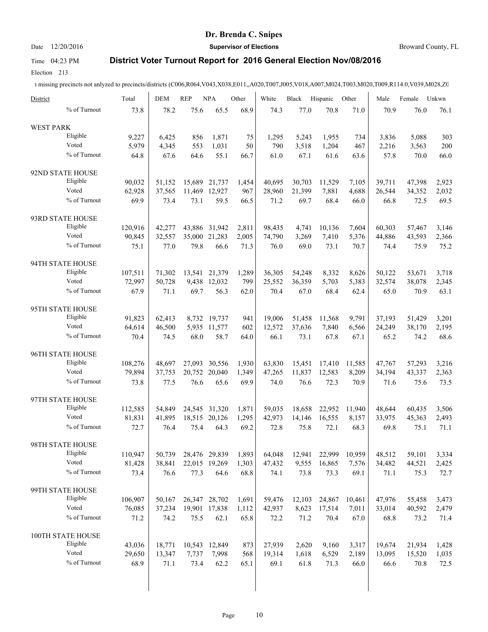### Date 12/20/2016 **Supervisor of Elections Supervisor of Elections** Broward County, FL

# Time 04:23 PM **District Voter Turnout Report for 2016 General Election Nov/08/2016**

Election 213

| District         |                          | Total   | <b>DEM</b> | <b>REP</b> | <b>NPA</b>    | Other | White  | Black  | Hispanic | Other  | Male   | Female | Unkwn |
|------------------|--------------------------|---------|------------|------------|---------------|-------|--------|--------|----------|--------|--------|--------|-------|
|                  | % of Turnout             | 73.8    | 78.2       | 75.6       | 65.5          | 68.9  | 74.3   | 77.0   | 70.8     | 71.0   | 70.9   | 76.0   | 76.1  |
| <b>WEST PARK</b> |                          |         |            |            |               |       |        |        |          |        |        |        |       |
|                  | Eligible                 | 9,227   | 6,425      | 856        | 1,871         | 75    | 1,295  | 5,243  | 1,955    | 734    | 3,836  | 5,088  | 303   |
|                  | Voted                    | 5,979   | 4,345      | 553        | 1,031         | 50    | 790    | 3,518  | 1,204    | 467    | 2,216  | 3,563  | 200   |
|                  | % of Turnout             | 64.8    | 67.6       | 64.6       | 55.1          | 66.7  | 61.0   | 67.1   | 61.6     | 63.6   | 57.8   | 70.0   | 66.0  |
|                  | 92ND STATE HOUSE         |         |            |            |               |       |        |        |          |        |        |        |       |
|                  | Eligible                 | 90,032  | 51,152     | 15,689     | 21,737        | 1,454 | 40.695 | 30,703 | 11,529   | 7,105  | 39,711 | 47,398 | 2,923 |
|                  | Voted                    | 62,928  | 37,565     | 11,469     | 12,927        | 967   | 28,960 | 21,399 | 7,881    | 4,688  | 26,544 | 34,352 | 2,032 |
|                  | % of Turnout             | 69.9    | 73.4       | 73.1       | 59.5          | 66.5  | 71.2   | 69.7   | 68.4     | 66.0   | 66.8   | 72.5   | 69.5  |
|                  | 93RD STATE HOUSE         |         |            |            |               |       |        |        |          |        |        |        |       |
|                  | Eligible                 | 120,916 | 42,277     | 43,886     | 31,942        | 2,811 | 98,435 | 4,741  | 10,136   | 7,604  | 60,303 | 57,467 | 3,146 |
|                  | Voted                    | 90,845  | 32,557     | 35,000     | 21,283        | 2,005 | 74,790 | 3,269  | 7,410    | 5,376  | 44,886 | 43,593 | 2,366 |
|                  | % of Turnout             | 75.1    | 77.0       | 79.8       | 66.6          | 71.3  | 76.0   | 69.0   | 73.1     | 70.7   | 74.4   | 75.9   | 75.2  |
|                  |                          |         |            |            |               |       |        |        |          |        |        |        |       |
|                  | 94TH STATE HOUSE         |         |            |            |               |       |        |        |          |        |        |        |       |
|                  | Eligible                 | 107,511 | 71,302     | 13,541     | 21,379        | 1,289 | 36,305 | 54,248 | 8,332    | 8,626  | 50,122 | 53,671 | 3,718 |
|                  | Voted                    | 72,997  | 50,728     |            | 9,438 12,032  | 799   | 25,552 | 36,359 | 5,703    | 5,383  | 32,574 | 38,078 | 2,345 |
|                  | % of Turnout             | 67.9    | 71.1       | 69.7       | 56.3          | 62.0  | 70.4   | 67.0   | 68.4     | 62.4   | 65.0   | 70.9   | 63.1  |
|                  | 95TH STATE HOUSE         |         |            |            |               |       |        |        |          |        |        |        |       |
|                  | Eligible                 | 91,823  | 62,413     |            | 8,732 19,737  | 941   | 19.006 | 51,458 | 11,568   | 9,791  | 37,193 | 51,429 | 3,201 |
|                  | Voted                    | 64,614  | 46,500     |            | 5,935 11,577  | 602   | 12,572 | 37,636 | 7,840    | 6,566  | 24,249 | 38,170 | 2,195 |
|                  | % of Turnout             | 70.4    | 74.5       | 68.0       | 58.7          | 64.0  | 66.1   | 73.1   | 67.8     | 67.1   | 65.2   | 74.2   | 68.6  |
|                  | 96TH STATE HOUSE         |         |            |            |               |       |        |        |          |        |        |        |       |
|                  | Eligible                 | 108,276 | 48,697     | 27,093     | 30,556        | 1,930 | 63,830 | 15,451 | 17,410   | 11,585 | 47,767 | 57,293 | 3,216 |
|                  | Voted                    | 79,894  | 37,753     |            | 20,752 20,040 | 1,349 | 47,265 | 11,837 | 12,583   | 8,209  | 34,194 | 43,337 | 2,363 |
|                  | % of Turnout             | 73.8    | 77.5       | 76.6       | 65.6          | 69.9  | 74.0   | 76.6   | 72.3     | 70.9   | 71.6   | 75.6   | 73.5  |
|                  | 97TH STATE HOUSE         |         |            |            |               |       |        |        |          |        |        |        |       |
|                  | Eligible                 | 112,585 | 54.849     |            | 24,545 31,320 | 1,871 | 59,035 | 18,658 | 22,952   | 11,940 | 48,644 | 60,435 | 3,506 |
|                  | Voted                    | 81,831  | 41,895     |            | 18,515 20,126 | 1,295 | 42,973 | 14,146 | 16,555   | 8,157  | 33,975 | 45,363 | 2,493 |
|                  | % of Turnout             | 72.7    | 76.4       | 75.4       | 64.3          | 69.2  | 72.8   | 75.8   | 72.1     | 68.3   | 69.8   | 75.1   | 71.1  |
|                  | 98TH STATE HOUSE         |         |            |            |               |       |        |        |          |        |        |        |       |
|                  | Eligible                 | 110,947 | 50,739     |            | 28,476 29,839 | 1,893 | 64,048 | 12,941 | 22,999   | 10,959 | 48,512 | 59,101 | 3,334 |
|                  | Voted                    | 81,428  | 38,841     |            | 22,015 19,269 | 1,303 | 47,432 | 9,555  | 16,865   | 7,576  | 34,482 | 44,521 | 2,425 |
|                  | % of Turnout             | 73.4    | 76.6       | 77.3       | 64.6          | 68.8  | 74.1   | 73.8   | 73.3     | 69.1   | 71.1   | 75.3   | 72.7  |
|                  |                          |         |            |            |               |       |        |        |          |        |        |        |       |
|                  | 99TH STATE HOUSE         |         |            |            |               |       |        |        |          |        |        |        |       |
|                  | Eligible                 | 106,907 | 50,167     |            | 26,347 28,702 | 1,691 | 59,476 | 12,103 | 24,867   | 10,461 | 47,976 | 55,458 | 3,473 |
|                  | Voted                    | 76,085  | 37,234     |            | 19,901 17,838 | 1,112 | 42,937 | 8,623  | 17,514   | 7,011  | 33,014 | 40,592 | 2,479 |
|                  | % of Turnout             | 71.2    | 74.2       | 75.5       | 62.1          | 65.8  | 72.2   | 71.2   | 70.4     | 67.0   | 68.8   | 73.2   | 71.4  |
|                  | <b>100TH STATE HOUSE</b> |         |            |            |               |       |        |        |          |        |        |        |       |
|                  | Eligible                 | 43,036  | 18,771     |            | 10,543 12,849 | 873   | 27,939 | 2,620  | 9,160    | 3,317  | 19,674 | 21,934 | 1,428 |
|                  | Voted                    | 29,650  | 13,347     | 7,737      | 7,998         | 568   | 19,314 | 1,618  | 6,529    | 2,189  | 13,095 | 15,520 | 1,035 |
|                  | % of Turnout             | 68.9    | 71.1       | 73.4       | 62.2          | 65.1  | 69.1   | 61.8   | 71.3     | 66.0   | 66.6   | 70.8   | 72.5  |
|                  |                          |         |            |            |               |       |        |        |          |        |        |        |       |
|                  |                          |         |            |            |               |       |        |        |          |        |        |        |       |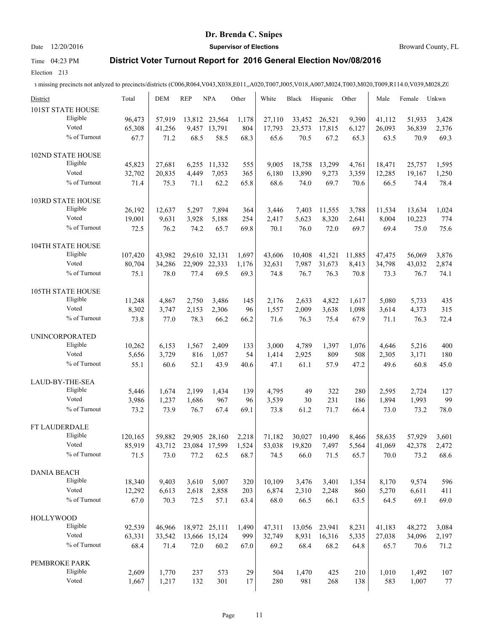# Date 12/20/2016 **Supervisor of Elections Supervisor of Elections** Broward County, FL

# Time 04:23 PM **District Voter Turnout Report for 2016 General Election Nov/08/2016**

Election 213

| District                      | Total            | <b>DEM</b>       | <b>REP</b>     | <b>NPA</b>                    | Other        | White            | Black            | Hispanic         | Other          | Male             | Female           | Unkwn          |
|-------------------------------|------------------|------------------|----------------|-------------------------------|--------------|------------------|------------------|------------------|----------------|------------------|------------------|----------------|
| 101ST STATE HOUSE<br>Eligible |                  |                  |                |                               |              |                  |                  |                  |                |                  |                  |                |
| Voted                         | 96,473<br>65,308 | 57,919<br>41,256 |                | 13,812 23,564<br>9,457 13,791 | 1,178<br>804 | 27,110<br>17,793 | 33,452<br>23,573 | 26,521<br>17,815 | 9,390<br>6,127 | 41,112<br>26,093 | 51,933<br>36,839 | 3,428<br>2,376 |
| % of Turnout                  | 67.7             | 71.2             | 68.5           | 58.5                          | 68.3         | 65.6             | 70.5             | 67.2             | 65.3           | 63.5             | 70.9             | 69.3           |
|                               |                  |                  |                |                               |              |                  |                  |                  |                |                  |                  |                |
| 102ND STATE HOUSE             |                  |                  |                |                               |              |                  |                  |                  |                |                  |                  |                |
| Eligible                      | 45,823           | 27,681           | 6,255          | 11,332                        | 555          | 9,005            | 18,758           | 13,299           | 4,761          | 18,471           | 25,757           | 1,595          |
| Voted                         | 32,702           | 20,835           | 4,449          | 7,053                         | 365          | 6,180            | 13,890           | 9,273            | 3,359          | 12,285           | 19,167           | 1,250          |
| % of Turnout                  | 71.4             | 75.3             | 71.1           | 62.2                          | 65.8         | 68.6             | 74.0             | 69.7             | 70.6           | 66.5             | 74.4             | 78.4           |
| 103RD STATE HOUSE             |                  |                  |                |                               |              |                  |                  |                  |                |                  |                  |                |
| Eligible                      | 26,192           | 12,637           | 5,297          | 7,894                         | 364          | 3,446            | 7,403            | 11,555           | 3,788          | 11,534           | 13,634           | 1,024          |
| Voted                         | 19,001           | 9,631            | 3,928          | 5,188                         | 254          | 2,417            | 5,623            | 8,320            | 2,641          | 8,004            | 10,223           | 774            |
| % of Turnout                  | 72.5             | 76.2             | 74.2           | 65.7                          | 69.8         | 70.1             | 76.0             | 72.0             | 69.7           | 69.4             | 75.0             | 75.6           |
| <b>104TH STATE HOUSE</b>      |                  |                  |                |                               |              |                  |                  |                  |                |                  |                  |                |
| Eligible                      | 107,420          | 43,982           | 29,610         | 32,131                        | 1,697        | 43,606           | 10,408           | 41,521           | 11,885         | 47,475           | 56,069           | 3,876          |
| Voted                         | 80,704           | 34,286           | 22,909         | 22,333                        | 1,176        | 32,631           | 7,987            | 31,673           | 8,413          | 34,798           | 43,032           | 2,874          |
| % of Turnout                  | 75.1             | 78.0             | 77.4           | 69.5                          | 69.3         | 74.8             | 76.7             | 76.3             | 70.8           | 73.3             | 76.7             | 74.1           |
| <b>105TH STATE HOUSE</b>      |                  |                  |                |                               |              |                  |                  |                  |                |                  |                  |                |
| Eligible                      | 11,248           | 4,867            | 2.750          | 3,486                         | 145          | 2.176            | 2,633            | 4,822            | 1,617          | 5,080            | 5,733            | 435            |
| Voted                         | 8,302            | 3,747            | 2,153          | 2,306                         | 96           | 1,557            | 2,009            | 3,638            | 1,098          | 3,614            | 4,373            | 315            |
| % of Turnout                  | 73.8             | 77.0             | 78.3           | 66.2                          | 66.2         | 71.6             | 76.3             | 75.4             | 67.9           | 71.1             | 76.3             | 72.4           |
| <b>UNINCORPORATED</b>         |                  |                  |                |                               |              |                  |                  |                  |                |                  |                  |                |
| Eligible                      | 10,262           | 6,153            | 1,567          | 2,409                         | 133          | 3,000            | 4,789            | 1,397            | 1,076          | 4,646            | 5,216            | 400            |
| Voted                         | 5,656            | 3,729            | 816            | 1,057                         | 54           | 1,414            | 2,925            | 809              | 508            | 2,305            | 3,171            | 180            |
| % of Turnout                  | 55.1             | 60.6             | 52.1           | 43.9                          | 40.6         | 47.1             | 61.1             | 57.9             | 47.2           | 49.6             | 60.8             | 45.0           |
|                               |                  |                  |                |                               |              |                  |                  |                  |                |                  |                  |                |
| LAUD-BY-THE-SEA<br>Eligible   |                  |                  |                |                               |              |                  |                  |                  |                |                  |                  |                |
| Voted                         | 5,446<br>3,986   | 1,674<br>1,237   | 2,199<br>1,686 | 1,434<br>967                  | 139<br>96    | 4,795<br>3,539   | 49<br>30         | 322<br>231       | 280<br>186     | 2,595<br>1,894   | 2,724<br>1,993   | 127<br>99      |
| % of Turnout                  | 73.2             | 73.9             | 76.7           | 67.4                          | 69.1         | 73.8             | 61.2             | 71.7             | 66.4           | 73.0             | 73.2             | 78.0           |
|                               |                  |                  |                |                               |              |                  |                  |                  |                |                  |                  |                |
| FT LAUDERDALE                 |                  |                  |                |                               |              |                  |                  |                  |                |                  |                  |                |
| Eligible                      | 120,165          | 59,882           | 29,905         | 28,160                        | 2,218        | 71,182           | 30,027           | 10,490           | 8,466          | 58,635           | 57,929           | 3,601          |
| Voted                         | 85,919           | 43,712           |                | 23,084 17,599                 | 1,524        | 53,038           | 19,820           | 7,497            | 5,564          | 41,069           | 42,378           | 2,472          |
| % of Turnout                  | 71.5             | 73.0             | 77.2           | 62.5                          | 68.7         | 74.5             | 66.0             | 71.5             | 65.7           | 70.0             | 73.2             | 68.6           |
| <b>DANIA BEACH</b>            |                  |                  |                |                               |              |                  |                  |                  |                |                  |                  |                |
| Eligible                      | 18,340           | 9,403            | 3,610          | 5,007                         | 320          | 10,109           | 3,476            | 3,401            | 1,354          | 8,170            | 9,574            | 596            |
| Voted                         | 12,292           | 6,613            | 2,618          | 2,858                         | 203          | 6,874            | 2,310            | 2,248            | 860            | 5,270            | 6,611            | 411            |
| % of Turnout                  | 67.0             | 70.3             | 72.5           | 57.1                          | 63.4         | 68.0             | 66.5             | 66.1             | 63.5           | 64.5             | 69.1             | 69.0           |
| <b>HOLLYWOOD</b>              |                  |                  |                |                               |              |                  |                  |                  |                |                  |                  |                |
| Eligible                      | 92,539           | 46,966           |                | 18,972 25,111                 | 1,490        | 47,311           | 13,056           | 23,941           | 8,231          | 41,183           | 48,272           | 3,084          |
| Voted                         | 63,331           | 33,542           |                | 13,666 15,124                 | 999          | 32,749           | 8,931            | 16,316           | 5,335          | 27,038           | 34,096           | 2,197          |
| % of Turnout                  | 68.4             | 71.4             | 72.0           | 60.2                          | 67.0         | 69.2             | 68.4             | 68.2             | 64.8           | 65.7             | 70.6             | 71.2           |
| PEMBROKE PARK                 |                  |                  |                |                               |              |                  |                  |                  |                |                  |                  |                |
| Eligible                      | 2,609            | 1,770            | 237            | 573                           | 29           | 504              | 1,470            | 425              | 210            | 1,010            | 1,492            | 107            |
| Voted                         | 1,667            | 1,217            | 132            | 301                           | 17           | 280              | 981              | 268              | 138            | 583              | 1,007            | 77             |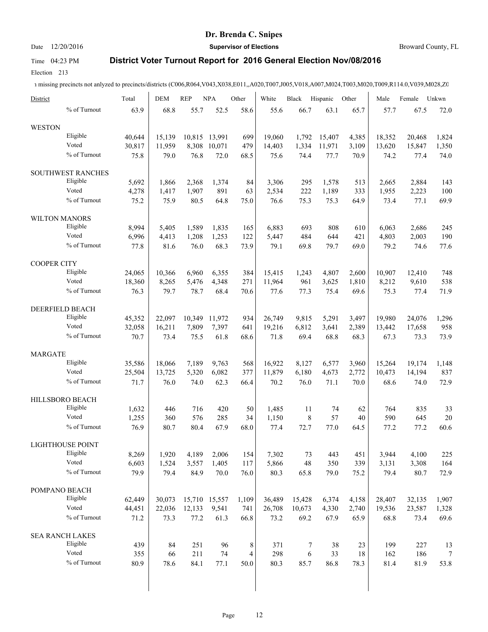# Date 12/20/2016 **Supervisor of Elections Supervisor of Elections** Broward County, FL

# Time 04:23 PM **District Voter Turnout Report for 2016 General Election Nov/08/2016**

Election 213

1 missing precincts not anlyzed to precincts/districts (C006,R064,V043,X038,E011,,A020,T007,J005,V018,A007,M024,T003,M020,T009,R114.0,V039,M028,Z0

| District             |                         | Total  | <b>DEM</b> | <b>REP</b> | <b>NPA</b>    | Other | White  | Black      | Hispanic | Other | Male   | Female | Unkwn  |
|----------------------|-------------------------|--------|------------|------------|---------------|-------|--------|------------|----------|-------|--------|--------|--------|
|                      | % of Turnout            | 63.9   | 68.8       | 55.7       | 52.5          | 58.6  | 55.6   | 66.7       | 63.1     | 65.7  | 57.7   | 67.5   | 72.0   |
| <b>WESTON</b>        |                         |        |            |            |               |       |        |            |          |       |        |        |        |
|                      | Eligible                | 40.644 | 15,139     | 10,815     | 13,991        | 699   | 19,060 | 1,792      | 15,407   | 4,385 | 18,352 | 20,468 | 1,824  |
|                      | Voted                   | 30,817 | 11,959     | 8,308      | 10,071        | 479   | 14,403 | 1,334      | 11,971   | 3,109 | 13,620 | 15,847 | 1,350  |
|                      | % of Turnout            | 75.8   | 79.0       | 76.8       | 72.0          | 68.5  | 75.6   | 74.4       | 77.7     | 70.9  | 74.2   | 77.4   | 74.0   |
|                      | SOUTHWEST RANCHES       |        |            |            |               |       |        |            |          |       |        |        |        |
|                      | Eligible                | 5,692  | 1.866      | 2,368      | 1,374         | 84    | 3,306  | 295        | 1,578    | 513   | 2,665  | 2,884  | 143    |
|                      | Voted                   | 4,278  | 1,417      | 1,907      | 891           | 63    | 2,534  | 222        | 1,189    | 333   | 1,955  | 2,223  | 100    |
|                      | % of Turnout            | 75.2   | 75.9       | 80.5       | 64.8          | 75.0  | 76.6   | 75.3       | 75.3     | 64.9  | 73.4   | 77.1   | 69.9   |
| <b>WILTON MANORS</b> |                         |        |            |            |               |       |        |            |          |       |        |        |        |
|                      | Eligible                | 8,994  | 5,405      | 1,589      | 1,835         | 165   | 6,883  | 693        | 808      | 610   | 6,063  | 2,686  | 245    |
|                      | Voted                   | 6,996  | 4,413      | 1,208      | 1,253         | 122   | 5,447  | 484        | 644      | 421   | 4,803  | 2,003  | 190    |
|                      | % of Turnout            | 77.8   | 81.6       | 76.0       | 68.3          | 73.9  | 79.1   | 69.8       | 79.7     | 69.0  | 79.2   | 74.6   | 77.6   |
| <b>COOPER CITY</b>   |                         |        |            |            |               |       |        |            |          |       |        |        |        |
|                      | Eligible                | 24,065 | 10,366     | 6,960      | 6,355         | 384   | 15,415 | 1,243      | 4,807    | 2,600 | 10,907 | 12,410 | 748    |
|                      | Voted                   | 18,360 | 8,265      | 5,476      | 4,348         | 271   | 11,964 | 961        | 3,625    | 1,810 | 8,212  | 9,610  | 538    |
|                      | % of Turnout            | 76.3   | 79.7       | 78.7       | 68.4          | 70.6  | 77.6   | 77.3       | 75.4     | 69.6  | 75.3   | 77.4   | 71.9   |
|                      | DEERFIELD BEACH         |        |            |            |               |       |        |            |          |       |        |        |        |
|                      | Eligible                | 45,352 | 22,097     | 10,349     | 11,972        | 934   | 26,749 | 9,815      | 5,291    | 3,497 | 19,980 | 24,076 | 1,296  |
|                      | Voted                   | 32,058 | 16,211     | 7,809      | 7,397         | 641   | 19,216 | 6,812      | 3,641    | 2,389 | 13,442 | 17,658 | 958    |
|                      | % of Turnout            | 70.7   | 73.4       | 75.5       | 61.8          | 68.6  | 71.8   | 69.4       | 68.8     | 68.3  | 67.3   | 73.3   | 73.9   |
| <b>MARGATE</b>       |                         |        |            |            |               |       |        |            |          |       |        |        |        |
|                      | Eligible                | 35,586 | 18,066     | 7,189      | 9,763         | 568   | 16,922 | 8,127      | 6,577    | 3,960 | 15,264 | 19,174 | 1,148  |
|                      | Voted                   | 25,504 | 13,725     | 5,320      | 6,082         | 377   | 11,879 | 6,180      | 4,673    | 2,772 | 10,473 | 14,194 | 837    |
|                      | % of Turnout            | 71.7   | 76.0       | 74.0       | 62.3          | 66.4  | 70.2   | 76.0       | 71.1     | 70.0  | 68.6   | 74.0   | 72.9   |
|                      | HILLSBORO BEACH         |        |            |            |               |       |        |            |          |       |        |        |        |
|                      | Eligible                | 1,632  | 446        | 716        | 420           | 50    | 1,485  | 11         | 74       | 62    | 764    | 835    | 33     |
|                      | Voted                   | 1,255  | 360        | 576        | 285           | 34    | 1,150  | 8          | 57       | 40    | 590    | 645    | $20\,$ |
|                      | % of Turnout            | 76.9   | 80.7       | 80.4       | 67.9          | 68.0  | 77.4   | 72.7       | 77.0     | 64.5  | 77.2   | 77.2   | 60.6   |
|                      |                         |        |            |            |               |       |        |            |          |       |        |        |        |
|                      | <b>LIGHTHOUSE POINT</b> |        |            |            |               |       |        |            |          |       |        |        |        |
|                      | Eligible                | 8,269  | 1,920      | 4,189      | 2,006         | 154   | 7,302  | 73         | 443      | 451   | 3,944  | 4,100  | 225    |
|                      | Voted                   | 6,603  | 1,524      | 3,557      | 1,405         | 117   | 5,866  | 48         | 350      | 339   | 3,131  | 3,308  | 164    |
|                      | % of Turnout            | 79.9   | 79.4       | 84.9       | 70.0          | 76.0  | 80.3   | 65.8       | 79.0     | 75.2  | 79.4   | 80.7   | 72.9   |
| POMPANO BEACH        |                         |        |            |            |               |       |        |            |          |       |        |        |        |
|                      | Eligible                | 62,449 | 30,073     |            | 15,710 15,557 | 1,109 | 36,489 | 15,428     | 6,374    | 4,158 | 28,407 | 32,135 | 1,907  |
|                      | Voted                   | 44,451 | 22,036     | 12,133     | 9,541         | 741   | 26,708 | 10,673     | 4,330    | 2,740 | 19,536 | 23,587 | 1,328  |
|                      | % of Turnout            | 71.2   | 73.3       | 77.2       | 61.3          | 66.8  | 73.2   | 69.2       | 67.9     | 65.9  | 68.8   | 73.4   | 69.6   |
|                      | <b>SEA RANCH LAKES</b>  |        |            |            |               |       |        |            |          |       |        |        |        |
|                      | Eligible                | 439    | 84         | 251        | 96            | 8     | 371    | 7          | 38       | 23    | 199    | 227    | 13     |
|                      | Voted                   | 355    | 66         | 211        | 74            | 4     | 298    | $\epsilon$ | 33       | 18    | 162    | 186    | $\tau$ |
|                      | % of Turnout            | 80.9   | 78.6       | 84.1       | 77.1          | 50.0  | 80.3   | 85.7       | 86.8     | 78.3  | 81.4   | 81.9   | 53.8   |
|                      |                         |        |            |            |               |       |        |            |          |       |        |        |        |
|                      |                         |        |            |            |               |       |        |            |          |       |        |        |        |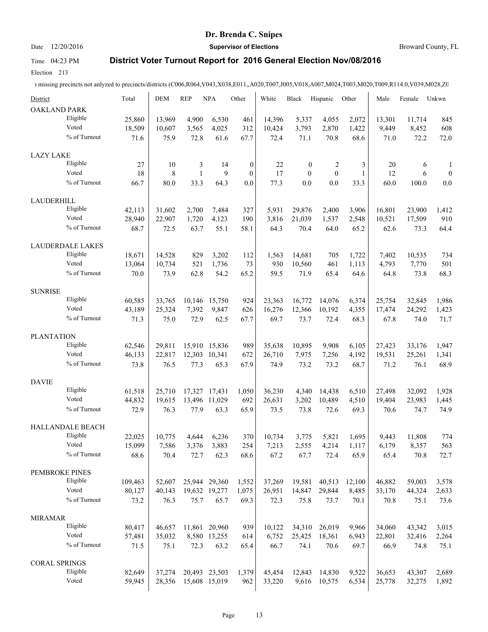### Date 12/20/2016 **Supervisor of Elections Supervisor of Elections** Broward County, FL

### Time 04:23 PM **District Voter Turnout Report for 2016 General Election Nov/08/2016**

Election 213

| District             |                         | Total   | <b>DEM</b> | <b>REP</b>   | <b>NPA</b>    | Other            | White  | <b>Black</b>     | Hispanic     | Other        | Male   | Female | Unkwn            |
|----------------------|-------------------------|---------|------------|--------------|---------------|------------------|--------|------------------|--------------|--------------|--------|--------|------------------|
| <b>OAKLAND PARK</b>  |                         |         |            |              |               |                  |        |                  |              |              |        |        |                  |
|                      | Eligible                | 25,860  | 13,969     | 4,900        | 6,530         | 461              | 14,396 | 5,337            | 4,055        | 2,072        | 13,301 | 11,714 | 845              |
|                      | Voted                   | 18,509  | 10,607     | 3,565        | 4,025         | 312              | 10,424 | 3,793            | 2,870        | 1,422        | 9,449  | 8,452  | 608              |
|                      | % of Turnout            | 71.6    | 75.9       | 72.8         | 61.6          | 67.7             | 72.4   | 71.1             | 70.8         | 68.6         | 71.0   | 72.2   | 72.0             |
| <b>LAZY LAKE</b>     |                         |         |            |              |               |                  |        |                  |              |              |        |        |                  |
|                      | Eligible                | 27      | 10         | 3            | 14            | $\boldsymbol{0}$ | 22     | $\boldsymbol{0}$ | 2            | 3            | 20     | 6      | 1                |
|                      | Voted                   | 18      | 8          | $\mathbf{1}$ | 9             | $\overline{0}$   | 17     | $\mathbf{0}$     | $\mathbf{0}$ | $\mathbf{1}$ | 12     | 6      | $\boldsymbol{0}$ |
|                      | % of Turnout            | 66.7    | 80.0       | 33.3         | 64.3          | 0.0              | 77.3   | 0.0              | 0.0          | 33.3         | 60.0   | 100.0  | 0.0              |
| LAUDERHILL           |                         |         |            |              |               |                  |        |                  |              |              |        |        |                  |
|                      | Eligible                | 42,113  | 31,602     | 2,700        | 7,484         | 327              | 5,931  | 29,876           | 2,400        | 3,906        | 16,801 | 23,900 | 1,412            |
|                      | Voted                   | 28,940  | 22,907     | 1,720        | 4,123         | 190              | 3,816  | 21,039           | 1,537        | 2,548        | 10,521 | 17,509 | 910              |
|                      | % of Turnout            | 68.7    | 72.5       | 63.7         | 55.1          | 58.1             | 64.3   | 70.4             | 64.0         | 65.2         | 62.6   | 73.3   | 64.4             |
|                      | <b>LAUDERDALE LAKES</b> |         |            |              |               |                  |        |                  |              |              |        |        |                  |
|                      | Eligible                | 18,671  | 14,528     | 829          | 3,202         | 112              | 1,563  | 14,681           | 705          | 1,722        | 7,402  | 10,535 | 734              |
|                      | Voted                   | 13,064  | 10,734     | 521          | 1,736         | 73               | 930    | 10,560           | 461          | 1,113        | 4,793  | 7,770  | 501              |
|                      | % of Turnout            | 70.0    | 73.9       | 62.8         | 54.2          | 65.2             | 59.5   | 71.9             | 65.4         | 64.6         | 64.8   | 73.8   | 68.3             |
| <b>SUNRISE</b>       |                         |         |            |              |               |                  |        |                  |              |              |        |        |                  |
|                      | Eligible                | 60,585  | 33.765     | 10,146       | 15,750        | 924              | 23,363 | 16,772           | 14,076       | 6,374        | 25,754 | 32,845 | 1,986            |
|                      | Voted                   | 43,189  | 25,324     | 7,392        | 9,847         | 626              | 16,276 | 12,366           | 10,192       | 4,355        | 17,474 | 24,292 | 1,423            |
|                      | % of Turnout            | 71.3    | 75.0       | 72.9         | 62.5          | 67.7             | 69.7   | 73.7             | 72.4         | 68.3         | 67.8   | 74.0   | 71.7             |
| <b>PLANTATION</b>    |                         |         |            |              |               |                  |        |                  |              |              |        |        |                  |
|                      | Eligible                | 62,546  | 29,811     |              | 15,910 15,836 | 989              | 35,638 | 10,895           | 9,908        | 6,105        | 27,423 | 33,176 | 1,947            |
|                      | Voted                   | 46,133  | 22,817     | 12,303       | 10,341        | 672              | 26,710 | 7,975            | 7,256        | 4,192        | 19,531 | 25,261 | 1,341            |
|                      | % of Turnout            | 73.8    | 76.5       | 77.3         | 65.3          | 67.9             | 74.9   | 73.2             | 73.2         | 68.7         | 71.2   | 76.1   | 68.9             |
| <b>DAVIE</b>         |                         |         |            |              |               |                  |        |                  |              |              |        |        |                  |
|                      | Eligible                | 61,518  | 25,710     | 17,327       | 17,431        | 1,050            | 36,230 | 4,340            | 14,438       | 6,510        | 27,498 | 32,092 | 1,928            |
|                      | Voted                   | 44,832  | 19,615     | 13,496       | 11,029        | 692              | 26,631 | 3,202            | 10,489       | 4,510        | 19,404 | 23,983 | 1,445            |
|                      | % of Turnout            | 72.9    | 76.3       | 77.9         | 63.3          | 65.9             | 73.5   | 73.8             | 72.6         | 69.3         | 70.6   | 74.7   | 74.9             |
|                      | HALLANDALE BEACH        |         |            |              |               |                  |        |                  |              |              |        |        |                  |
|                      | Eligible                | 22,025  | 10,775     | 4,644        | 6,236         | 370              | 10,734 | 3,775            | 5,821        | 1,695        | 9,443  | 11,808 | 774              |
|                      | Voted                   | 15,099  | 7,586      | 3,376        | 3,883         | 254              | 7,213  | 2,555            | 4,214        | 1,117        | 6,179  | 8,357  | 563              |
|                      | % of Turnout            | 68.6    | 70.4       | 72.7         | 62.3          | 68.6             | 67.2   | 67.7             | 72.4         | 65.9         | 65.4   | 70.8   | 72.7             |
| PEMBROKE PINES       |                         |         |            |              |               |                  |        |                  |              |              |        |        |                  |
|                      | Eligible                | 109,463 | 52,607     |              | 25,944 29,360 | 1,552            | 37,269 | 19,581           | 40,513       | 12,100       | 46,882 | 59,003 | 3,578            |
|                      | Voted                   | 80,127  | 40,143     |              | 19,632 19,277 | 1,075            | 26,951 | 14,847           | 29,844       | 8,485        | 33,170 | 44,324 | 2,633            |
|                      | % of Turnout            | 73.2    | 76.3       | 75.7         | 65.7          | 69.3             | 72.3   | 75.8             | 73.7         | 70.1         | 70.8   | 75.1   | 73.6             |
| <b>MIRAMAR</b>       |                         |         |            |              |               |                  |        |                  |              |              |        |        |                  |
|                      | Eligible                | 80,417  | 46,657     |              | 11,861 20,960 | 939              | 10,122 | 34,310           | 26,019       | 9,966        | 34,060 | 43,342 | 3,015            |
|                      | Voted                   | 57,481  | 35,032     |              | 8,580 13,255  | 614              | 6,752  | 25,425           | 18,361       | 6,943        | 22,801 | 32,416 | 2,264            |
|                      | % of Turnout            | 71.5    | 75.1       | 72.3         | 63.2          | 65.4             | 66.7   | 74.1             | 70.6         | 69.7         | 66.9   | 74.8   | 75.1             |
| <b>CORAL SPRINGS</b> |                         |         |            |              |               |                  |        |                  |              |              |        |        |                  |
|                      | Eligible                | 82,649  | 37,274     |              | 20,493 23,503 | 1,379            | 45,454 | 12,843           | 14,830       | 9,522        | 36,653 | 43,307 | 2,689            |
|                      | Voted                   | 59,945  | 28,356     |              | 15,608 15,019 | 962              | 33,220 | 9,616            | 10,575       | 6,534        | 25,778 | 32,275 | 1,892            |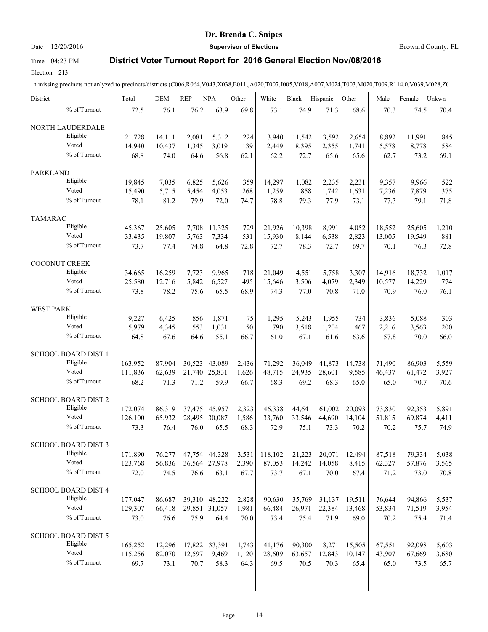# Date 12/20/2016 **Supervisor of Elections Supervisor of Elections** Broward County, FL

## Time 04:23 PM **District Voter Turnout Report for 2016 General Election Nov/08/2016**

Election 213

| District                   |              | Total   | <b>DEM</b> | <b>REP</b>    | <b>NPA</b>    | Other | White   | Black  | Hispanic | Other  | Male   | Female | Unkwn |
|----------------------------|--------------|---------|------------|---------------|---------------|-------|---------|--------|----------|--------|--------|--------|-------|
|                            | % of Turnout | 72.5    | 76.1       | 76.2          | 63.9          | 69.8  | 73.1    | 74.9   | 71.3     | 68.6   | 70.3   | 74.5   | 70.4  |
| NORTH LAUDERDALE           |              |         |            |               |               |       |         |        |          |        |        |        |       |
| Eligible                   |              | 21,728  | 14,111     | 2,081         | 5,312         | 224   | 3,940   | 11,542 | 3,592    | 2,654  | 8,892  | 11,991 | 845   |
| Voted                      |              | 14,940  | 10,437     | 1,345         | 3,019         | 139   | 2,449   | 8,395  | 2,355    | 1,741  | 5,578  | 8,778  | 584   |
|                            | % of Turnout | 68.8    | 74.0       | 64.6          | 56.8          | 62.1  | 62.2    | 72.7   | 65.6     | 65.6   | 62.7   | 73.2   | 69.1  |
| <b>PARKLAND</b>            |              |         |            |               |               |       |         |        |          |        |        |        |       |
| Eligible                   |              | 19,845  | 7,035      | 6,825         | 5,626         | 359   | 14,297  | 1,082  | 2,235    | 2,231  | 9,357  | 9,966  | 522   |
| Voted                      |              | 15,490  | 5,715      | 5,454         | 4,053         | 268   | 11,259  | 858    | 1,742    | 1,631  | 7,236  | 7,879  | 375   |
|                            | % of Turnout | 78.1    | 81.2       | 79.9          | 72.0          | 74.7  | 78.8    | 79.3   | 77.9     | 73.1   | 77.3   | 79.1   | 71.8  |
| <b>TAMARAC</b>             |              |         |            |               |               |       |         |        |          |        |        |        |       |
| Eligible                   |              | 45,367  | 25,605     |               | 7,708 11,325  | 729   | 21,926  | 10,398 | 8,991    | 4,052  | 18,552 | 25,605 | 1,210 |
| Voted                      |              | 33,435  | 19,807     | 5,763         | 7,334         | 531   | 15,930  | 8,144  | 6,538    | 2,823  | 13,005 | 19,549 | 881   |
|                            | % of Turnout | 73.7    | 77.4       | 74.8          | 64.8          | 72.8  | 72.7    | 78.3   | 72.7     | 69.7   | 70.1   | 76.3   | 72.8  |
|                            |              |         |            |               |               |       |         |        |          |        |        |        |       |
| COCONUT CREEK              |              |         |            |               |               |       |         |        |          |        |        |        |       |
| Eligible                   |              | 34,665  | 16,259     | 7,723         | 9,965         | 718   | 21.049  | 4,551  | 5,758    | 3,307  | 14,916 | 18,732 | 1,017 |
| Voted                      |              | 25,580  | 12,716     | 5,842         | 6,527         | 495   | 15,646  | 3,506  | 4,079    | 2,349  | 10,577 | 14,229 | 774   |
|                            | % of Turnout | 73.8    | 78.2       | 75.6          | 65.5          | 68.9  | 74.3    | 77.0   | 70.8     | 71.0   | 70.9   | 76.0   | 76.1  |
| <b>WEST PARK</b>           |              |         |            |               |               |       |         |        |          |        |        |        |       |
| Eligible                   |              | 9,227   | 6,425      | 856           | 1,871         | 75    | 1,295   | 5,243  | 1,955    | 734    | 3,836  | 5,088  | 303   |
| Voted                      |              | 5,979   | 4,345      | 553           | 1,031         | 50    | 790     | 3,518  | 1,204    | 467    | 2,216  | 3,563  | 200   |
|                            | % of Turnout | 64.8    | 67.6       | 64.6          | 55.1          | 66.7  | 61.0    | 67.1   | 61.6     | 63.6   | 57.8   | 70.0   | 66.0  |
| <b>SCHOOL BOARD DIST 1</b> |              |         |            |               |               |       |         |        |          |        |        |        |       |
| Eligible                   |              | 163,952 | 87,904     | 30,523        | 43,089        | 2,436 | 71,292  | 36,049 | 41,873   | 14,738 | 71,490 | 86,903 | 5,559 |
| Voted                      |              | 111,836 | 62,639     | 21,740 25,831 |               | 1,626 | 48,715  | 24,935 | 28,601   | 9,585  | 46,437 | 61,472 | 3,927 |
|                            | % of Turnout | 68.2    | 71.3       | 71.2          | 59.9          | 66.7  | 68.3    | 69.2   | 68.3     | 65.0   | 65.0   | 70.7   | 70.6  |
| <b>SCHOOL BOARD DIST 2</b> |              |         |            |               |               |       |         |        |          |        |        |        |       |
| Eligible                   |              | 172,074 | 86,319     | 37,475        | 45,957        | 2,323 | 46,338  | 44,641 | 61,002   | 20,093 | 73,830 | 92,353 | 5,891 |
| Voted                      |              | 126,100 | 65,932     | 28,495 30,087 |               | 1,586 | 33,760  | 33,546 | 44,690   | 14,104 | 51,815 | 69,874 | 4,411 |
|                            | % of Turnout | 73.3    | 76.4       | 76.0          | 65.5          | 68.3  | 72.9    | 75.1   | 73.3     | 70.2   | 70.2   | 75.7   | 74.9  |
|                            |              |         |            |               |               |       |         |        |          |        |        |        |       |
| SCHOOL BOARD DIST 3        |              |         |            |               |               |       |         |        |          |        |        |        |       |
| Eligible                   |              | 171,890 | 76,277     |               | 47,754 44,328 | 3,531 | 118,102 | 21,223 | 20,071   | 12,494 | 87,518 | 79,334 | 5,038 |
| Voted                      |              | 123,768 | 56,836     | 36,564 27,978 |               | 2,390 | 87,053  | 14,242 | 14,058   | 8,415  | 62,327 | 57,876 | 3,565 |
|                            | % of Turnout | 72.0    | 74.5       | 76.6          | 63.1          | 67.7  | 73.7    | 67.1   | 70.0     | 67.4   | 71.2   | 73.0   | 70.8  |
| SCHOOL BOARD DIST 4        |              |         |            |               |               |       |         |        |          |        |        |        |       |
| Eligible                   |              | 177,047 | 86,687     | 39,310 48,222 |               | 2,828 | 90,630  | 35,769 | 31,137   | 19,511 | 76,644 | 94,866 | 5,537 |
| Voted                      |              | 129,307 | 66,418     | 29,851 31,057 |               | 1,981 | 66,484  | 26,971 | 22,384   | 13,468 | 53,834 | 71,519 | 3,954 |
|                            | % of Turnout | 73.0    | 76.6       | 75.9          | 64.4          | 70.0  | 73.4    | 75.4   | 71.9     | 69.0   | 70.2   | 75.4   | 71.4  |
| SCHOOL BOARD DIST 5        |              |         |            |               |               |       |         |        |          |        |        |        |       |
| Eligible                   |              |         | 112,296    |               |               |       |         | 90,300 |          |        |        |        | 5,603 |
| Voted                      |              | 165,252 |            | 17,822 33,391 |               | 1,743 | 41,176  |        | 18,271   | 15,505 | 67,551 | 92,098 |       |
|                            | % of Turnout | 115,256 | 82,070     |               | 12,597 19,469 | 1,120 | 28,609  | 63,657 | 12,843   | 10,147 | 43,907 | 67,669 | 3,680 |
|                            |              | 69.7    | 73.1       | 70.7          | 58.3          | 64.3  | 69.5    | 70.5   | 70.3     | 65.4   | 65.0   | 73.5   | 65.7  |
|                            |              |         |            |               |               |       |         |        |          |        |        |        |       |
|                            |              |         |            |               |               |       |         |        |          |        |        |        |       |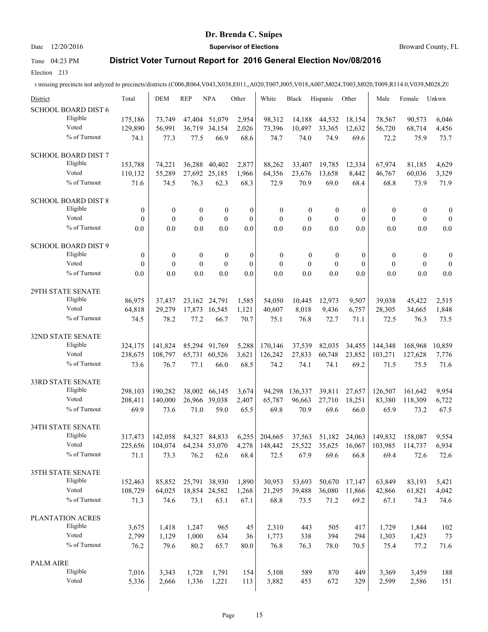# Date 12/20/2016 **Supervisor of Elections Supervisor of Elections** Broward County, FL

# Time 04:23 PM **District Voter Turnout Report for 2016 General Election Nov/08/2016**

Election 213

| District                      | Total            | <b>DEM</b>       | <b>REP</b>       | <b>NPA</b>       | Other        | White            | <b>Black</b>     | Hispanic         | Other            | Male             | Female           | Unkwn            |
|-------------------------------|------------------|------------------|------------------|------------------|--------------|------------------|------------------|------------------|------------------|------------------|------------------|------------------|
| <b>SCHOOL BOARD DIST 6</b>    |                  |                  |                  |                  |              |                  |                  |                  |                  |                  |                  |                  |
| Eligible<br>Voted             | 175,186          | 73,749           |                  | 47,404 51,079    | 2,954        | 98,312           | 14,188           | 44,532           | 18,154           | 78,567           | 90,573           | 6,046            |
| % of Turnout                  | 129,890          | 56,991           | 36,719           | 34,154           | 2,026        | 73,396           | 10,497           | 33,365           | 12,632           | 56,720           | 68,714           | 4,456            |
|                               | 74.1             | 77.3             | 77.5             | 66.9             | 68.6         | 74.7             | 74.0             | 74.9             | 69.6             | 72.2             | 75.9             | 73.7             |
| <b>SCHOOL BOARD DIST 7</b>    |                  |                  |                  |                  |              |                  |                  |                  |                  |                  |                  |                  |
| Eligible                      | 153,788          | 74,221           | 36,288           | 40,402           | 2,877        | 88,262           | 33,407           | 19,785           | 12,334           | 67,974           | 81,185           | 4,629            |
| Voted                         | 110,132          | 55,289           | 27,692           | 25,185           | 1,966        | 64,356           | 23,676           | 13,658           | 8,442            | 46,767           | 60,036           | 3,329            |
| % of Turnout                  | 71.6             | 74.5             | 76.3             | 62.3             | 68.3         | 72.9             | 70.9             | 69.0             | 68.4             | 68.8             | 73.9             | 71.9             |
| <b>SCHOOL BOARD DIST 8</b>    |                  |                  |                  |                  |              |                  |                  |                  |                  |                  |                  |                  |
| Eligible                      | $\boldsymbol{0}$ | $\boldsymbol{0}$ | $\boldsymbol{0}$ | $\boldsymbol{0}$ | $\mathbf{0}$ | $\boldsymbol{0}$ | $\boldsymbol{0}$ | $\boldsymbol{0}$ | $\boldsymbol{0}$ | $\boldsymbol{0}$ | $\boldsymbol{0}$ | $\boldsymbol{0}$ |
| Voted                         | $\mathbf{0}$     | $\mathbf{0}$     | $\overline{0}$   | $\mathbf{0}$     | $\mathbf{0}$ | $\mathbf{0}$     | $\mathbf{0}$     | $\mathbf{0}$     | $\mathbf{0}$     | $\mathbf{0}$     | $\mathbf{0}$     | $\boldsymbol{0}$ |
| % of Turnout                  | 0.0              | 0.0              | 0.0              | 0.0              | 0.0          | 0.0              | 0.0              | 0.0              | 0.0              | 0.0              | 0.0              | 0.0              |
| <b>SCHOOL BOARD DIST 9</b>    |                  |                  |                  |                  |              |                  |                  |                  |                  |                  |                  |                  |
| Eligible                      | $\boldsymbol{0}$ | $\boldsymbol{0}$ | $\boldsymbol{0}$ | $\boldsymbol{0}$ | $\mathbf{0}$ | $\boldsymbol{0}$ | $\boldsymbol{0}$ | $\boldsymbol{0}$ | $\mathbf{0}$     | $\boldsymbol{0}$ | $\boldsymbol{0}$ | $\boldsymbol{0}$ |
| Voted                         | $\mathbf{0}$     | $\mathbf{0}$     | $\overline{0}$   | $\mathbf{0}$     | $\mathbf{0}$ | $\mathbf{0}$     | $\mathbf{0}$     | $\mathbf{0}$     | $\mathbf{0}$     | $\mathbf{0}$     | $\boldsymbol{0}$ | $\mathbf{0}$     |
| % of Turnout                  | 0.0              | 0.0              | 0.0              | 0.0              | 0.0          | 0.0              | 0.0              | 0.0              | 0.0              | 0.0              | 0.0              | 0.0              |
| 29TH STATE SENATE             |                  |                  |                  |                  |              |                  |                  |                  |                  |                  |                  |                  |
| Eligible                      | 86,975           | 37.437           | 23,162           | 24,791           | 1,585        | 54,050           | 10,445           | 12,973           | 9,507            | 39,038           | 45,422           | 2,515            |
| Voted                         | 64,818           | 29,279           |                  | 17,873 16,545    | 1,121        | 40,607           | 8,018            | 9,436            | 6,757            | 28,305           | 34,665           | 1,848            |
| % of Turnout                  | 74.5             | 78.2             | 77.2             | 66.7             | 70.7         | 75.1             | 76.8             | 72.7             | 71.1             | 72.5             | 76.3             | 73.5             |
|                               |                  |                  |                  |                  |              |                  |                  |                  |                  |                  |                  |                  |
| 32ND STATE SENATE<br>Eligible |                  |                  |                  |                  |              |                  |                  |                  |                  |                  |                  |                  |
| Voted                         | 324,175          | 141,824          |                  | 85,294 91,769    | 5,288        | 170,146          | 37,539           | 82,035           | 34,455           | 144,348          | 168,968          | 10,859           |
| % of Turnout                  | 238,675          | 108,797          |                  | 65,731 60,526    | 3,621        | 126,242          | 27,833           | 60,748           | 23,852           | 103,271          | 127,628          | 7,776            |
|                               | 73.6             | 76.7             | 77.1             | 66.0             | 68.5         | 74.2             | 74.1             | 74.1             | 69.2             | 71.5             | 75.5             | 71.6             |
| 33RD STATE SENATE             |                  |                  |                  |                  |              |                  |                  |                  |                  |                  |                  |                  |
| Eligible                      | 298,103          | 190,282          | 38,002           | 66,145           | 3,674        | 94,298           | 136,337          | 39,811           | 27,657           | 126,507          | 161,642          | 9,954            |
| Voted                         | 208,411          | 140,000          |                  | 26,966 39,038    | 2,407        | 65,787           | 96,663           | 27,710           | 18,251           | 83,380           | 118,309          | 6,722            |
| % of Turnout                  | 69.9             | 73.6             | 71.0             | 59.0             | 65.5         | 69.8             | 70.9             | 69.6             | 66.0             | 65.9             | 73.2             | 67.5             |
| 34TH STATE SENATE             |                  |                  |                  |                  |              |                  |                  |                  |                  |                  |                  |                  |
| Eligible                      | 317,473          | 142,058          | 84,327           | 84,833           | 6,255        | 204,665          | 37,563           | 51,182           | 24,063           | 149,832          | 158,087          | 9,554            |
| Voted                         | 225,656          | 104,074          |                  | 64,234 53,070    | 4,278        | 148,442          | 25,522           | 35,625           | 16,067           | 103,985          | 114,737          | 6,934            |
| % of Turnout                  | 71.1             | 73.3             | 76.2             | 62.6             | 68.4         | 72.5             | 67.9             | 69.6             | 66.8             | 69.4             | 72.6             | 72.6             |
| 35TH STATE SENATE             |                  |                  |                  |                  |              |                  |                  |                  |                  |                  |                  |                  |
| Eligible                      | 152,463          | 85,852           |                  | 25,791 38,930    | 1,890        | 30,953           | 53,693           | 50,670           | 17,147           | 63,849           | 83,193           |                  |
| Voted                         | 108,729          | 64,025           |                  | 18,854 24,582    | 1,268        | 21,295           | 39,488           | 36,080           | 11,866           | 42,866           | 61,821           | 5,421<br>4,042   |
| % of Turnout                  | 71.3             | 74.6             | 73.1             | 63.1             | 67.1         | 68.8             | 73.5             | 71.2             | 69.2             | 67.1             | 74.3             | 74.6             |
|                               |                  |                  |                  |                  |              |                  |                  |                  |                  |                  |                  |                  |
| PLANTATION ACRES<br>Eligible  |                  |                  |                  |                  |              |                  |                  |                  |                  |                  |                  |                  |
| Voted                         | 3,675            | 1,418            | 1,247            | 965              | 45           | 2,310            | 443              | 505              | 417              | 1,729            | 1,844            | 102              |
| % of Turnout                  | 2,799            | 1,129            | 1,000            | 634              | 36           | 1,773            | 338              | 394              | 294              | 1,303            | 1,423            | 73               |
|                               | 76.2             | 79.6             | 80.2             | 65.7             | 80.0         | 76.8             | 76.3             | 78.0             | 70.5             | 75.4             | 77.2             | 71.6             |
| <b>PALM AIRE</b>              |                  |                  |                  |                  |              |                  |                  |                  |                  |                  |                  |                  |
| Eligible                      | 7,016            | 3,343            | 1,728            | 1,791            | 154          | 5,108            | 589              | 870              | 449              | 3,369            | 3,459            | 188              |
| Voted                         | 5,336            | 2,666            | 1,336            | 1,221            | 113          | 3,882            | 453              | 672              | 329              | 2,599            | 2,586            | 151              |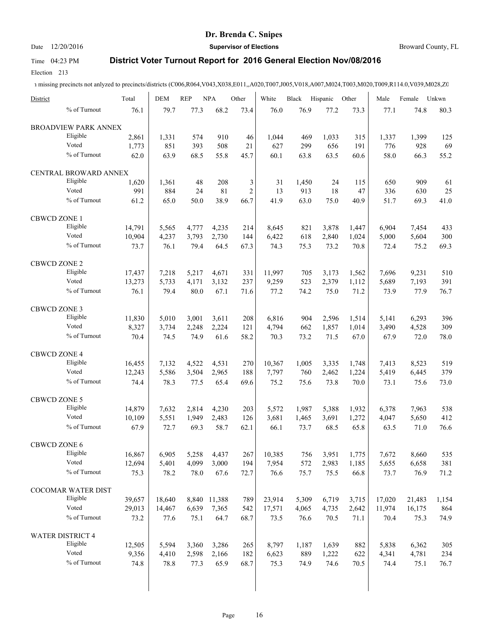# Date 12/20/2016 **Supervisor of Elections Supervisor of Elections** Broward County, FL

### Time 04:23 PM **District Voter Turnout Report for 2016 General Election Nov/08/2016**

Election 213

| District                | Total  | <b>DEM</b> | <b>REP</b> | <b>NPA</b>   | Other          | White  | Black | Hispanic | Other | Male   | Female | Unkwn |
|-------------------------|--------|------------|------------|--------------|----------------|--------|-------|----------|-------|--------|--------|-------|
| % of Turnout            | 76.1   | 79.7       | 77.3       | 68.2         | 73.4           | 76.0   | 76.9  | 77.2     | 73.3  | 77.1   | 74.8   | 80.3  |
| BROADVIEW PARK ANNEX    |        |            |            |              |                |        |       |          |       |        |        |       |
| Eligible                | 2,861  | 1,331      | 574        | 910          | 46             | 1.044  | 469   | 1,033    | 315   | 1,337  | 1,399  | 125   |
| Voted                   | 1,773  | 851        | 393        | 508          | 21             | 627    | 299   | 656      | 191   | 776    | 928    | 69    |
| % of Turnout            | 62.0   | 63.9       | 68.5       | 55.8         | 45.7           | 60.1   | 63.8  | 63.5     | 60.6  | 58.0   | 66.3   | 55.2  |
| CENTRAL BROWARD ANNEX   |        |            |            |              |                |        |       |          |       |        |        |       |
| Eligible                | 1,620  | 1,361      | 48         | 208          | 3              | 31     | 1,450 | 24       | 115   | 650    | 909    | 61    |
| Voted                   | 991    | 884        | 24         | 81           | $\overline{c}$ | 13     | 913   | 18       | 47    | 336    | 630    | 25    |
| % of Turnout            | 61.2   | 65.0       | 50.0       | 38.9         | 66.7           | 41.9   | 63.0  | 75.0     | 40.9  | 51.7   | 69.3   | 41.0  |
| <b>CBWCD ZONE 1</b>     |        |            |            |              |                |        |       |          |       |        |        |       |
| Eligible                | 14,791 | 5,565      | 4,777      | 4,235        | 214            | 8,645  | 821   | 3,878    | 1,447 | 6,904  | 7,454  | 433   |
| Voted                   | 10,904 | 4,237      | 3,793      | 2,730        | 144            | 6,422  | 618   | 2,840    | 1,024 | 5,000  | 5,604  | 300   |
| % of Turnout            | 73.7   | 76.1       | 79.4       | 64.5         | 67.3           | 74.3   | 75.3  | 73.2     | 70.8  | 72.4   | 75.2   | 69.3  |
| <b>CBWCD ZONE 2</b>     |        |            |            |              |                |        |       |          |       |        |        |       |
| Eligible                | 17,437 | 7,218      | 5,217      | 4,671        | 331            | 11,997 | 705   | 3,173    | 1,562 | 7,696  | 9,231  | 510   |
| Voted                   | 13,273 | 5,733      | 4,171      | 3,132        | 237            | 9,259  | 523   | 2,379    | 1,112 | 5,689  | 7,193  | 391   |
| % of Turnout            | 76.1   | 79.4       | 80.0       | 67.1         | 71.6           | 77.2   | 74.2  | 75.0     | 71.2  | 73.9   | 77.9   | 76.7  |
| <b>CBWCD ZONE 3</b>     |        |            |            |              |                |        |       |          |       |        |        |       |
| Eligible                | 11,830 | 5,010      | 3,001      | 3,611        | 208            | 6,816  | 904   | 2,596    | 1,514 | 5,141  | 6,293  | 396   |
| Voted                   | 8,327  | 3,734      | 2,248      | 2,224        | 121            | 4,794  | 662   | 1,857    | 1,014 | 3,490  | 4,528  | 309   |
| % of Turnout            | 70.4   | 74.5       | 74.9       | 61.6         | 58.2           | 70.3   | 73.2  | 71.5     | 67.0  | 67.9   | 72.0   | 78.0  |
| CBWCD ZONE 4            |        |            |            |              |                |        |       |          |       |        |        |       |
| Eligible                | 16,455 | 7,132      | 4,522      | 4,531        | 270            | 10,367 | 1,005 | 3,335    | 1,748 | 7,413  | 8,523  | 519   |
| Voted                   | 12,243 | 5,586      | 3,504      | 2,965        | 188            | 7,797  | 760   | 2,462    | 1,224 | 5,419  | 6,445  | 379   |
| % of Turnout            |        |            |            |              |                |        |       |          |       |        |        |       |
|                         | 74.4   | 78.3       | 77.5       | 65.4         | 69.6           | 75.2   | 75.6  | 73.8     | 70.0  | 73.1   | 75.6   | 73.0  |
| <b>CBWCD ZONE 5</b>     |        |            |            |              |                |        |       |          |       |        |        |       |
| Eligible                | 14,879 | 7,632      | 2,814      | 4,230        | 203            | 5,572  | 1,987 | 5,388    | 1,932 | 6,378  | 7,963  | 538   |
| Voted                   | 10,109 | 5,551      | 1,949      | 2,483        | 126            | 3,681  | 1,465 | 3,691    | 1,272 | 4,047  | 5,650  | 412   |
| % of Turnout            | 67.9   | 72.7       | 69.3       | 58.7         | 62.1           | 66.1   | 73.7  | 68.5     | 65.8  | 63.5   | 71.0   | 76.6  |
| <b>CBWCD ZONE 6</b>     |        |            |            |              |                |        |       |          |       |        |        |       |
| Eligible                | 16,867 | 6,905      | 5,258      | 4,437        | 267            | 10,385 | 756   | 3,951    | 1,775 | 7,672  | 8,660  | 535   |
| Voted                   | 12,694 | 5,401      | 4,099      | 3,000        | 194            | 7,954  | 572   | 2,983    | 1,185 | 5,655  | 6,658  | 381   |
| % of Turnout            | 75.3   | 78.2       | 78.0       | 67.6         | 72.7           | 76.6   | 75.7  | 75.5     | 66.8  | 73.7   | 76.9   | 71.2  |
| COCOMAR WATER DIST      |        |            |            |              |                |        |       |          |       |        |        |       |
| Eligible                | 39,657 | 18,640     |            | 8,840 11,388 | 789            | 23,914 | 5,309 | 6,719    | 3,715 | 17,020 | 21,483 | 1,154 |
| Voted                   | 29,013 | 14,467     | 6,639      | 7,365        | 542            | 17,571 | 4,065 | 4,735    | 2,642 | 11,974 | 16,175 | 864   |
| % of Turnout            | 73.2   | 77.6       | 75.1       | 64.7         | 68.7           | 73.5   | 76.6  | 70.5     | 71.1  | 70.4   | 75.3   | 74.9  |
| <b>WATER DISTRICT 4</b> |        |            |            |              |                |        |       |          |       |        |        |       |
| Eligible                | 12,505 | 5,594      | 3,360      | 3,286        | 265            | 8,797  | 1,187 | 1,639    | 882   | 5,838  | 6,362  | 305   |
| Voted                   | 9,356  | 4,410      | 2,598      | 2,166        | 182            | 6,623  | 889   | 1,222    | 622   | 4,341  | 4,781  | 234   |
| % of Turnout            | 74.8   | 78.8       | 77.3       | 65.9         | 68.7           | 75.3   | 74.9  | 74.6     | 70.5  | 74.4   | 75.1   | 76.7  |
|                         |        |            |            |              |                |        |       |          |       |        |        |       |
|                         |        |            |            |              |                |        |       |          |       |        |        |       |